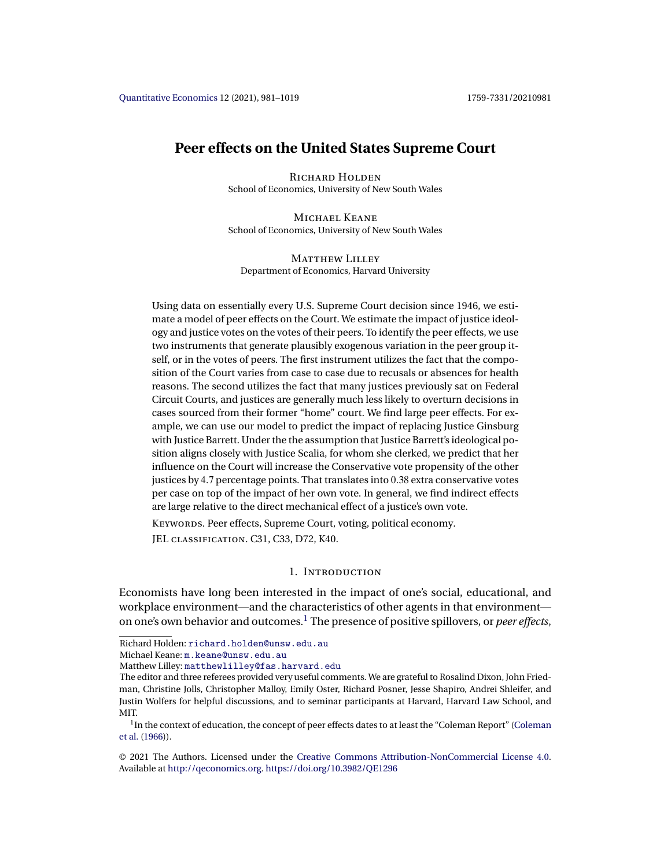# <span id="page-0-0"></span>**Peer effects on the United States Supreme Court**

RICHARD HOLDEN School of Economics, University of New South Wales

Michael Keane School of Economics, University of New South Wales

MATTHEW LILLEY Department of Economics, Harvard University

Using data on essentially every U.S. Supreme Court decision since 1946, we estimate a model of peer effects on the Court. We estimate the impact of justice ideology and justice votes on the votes of their peers. To identify the peer effects, we use two instruments that generate plausibly exogenous variation in the peer group itself, or in the votes of peers. The first instrument utilizes the fact that the composition of the Court varies from case to case due to recusals or absences for health reasons. The second utilizes the fact that many justices previously sat on Federal Circuit Courts, and justices are generally much less likely to overturn decisions in cases sourced from their former "home" court. We find large peer effects. For example, we can use our model to predict the impact of replacing Justice Ginsburg with Justice Barrett. Under the the assumption that Justice Barrett's ideological position aligns closely with Justice Scalia, for whom she clerked, we predict that her influence on the Court will increase the Conservative vote propensity of the other justices by 4-7 percentage points. That translates into 0-38 extra conservative votes per case on top of the impact of her own vote. In general, we find indirect effects are large relative to the direct mechanical effect of a justice's own vote.

KEYWORDS. Peer effects, Supreme Court, voting, political economy.

JEL classification. C31, C33, D72, K40.

# 1. Introduction

Economists have long been interested in the impact of one's social, educational, and workplace environment—and the characteristics of other agents in that environment on one's own behavior and outcomes.<sup>1</sup> The presence of positive spillovers, or *peer effects*,

Michael Keane: [m.keane@unsw.edu.au](mailto:m.keane@unsw.edu.au)

Richard Holden: [richard.holden@unsw.edu.au](mailto:richard.holden@unsw.edu.au)

Matthew Lilley: [matthewlilley@fas.harvard.edu](mailto:matthewlilley@fas.harvard.edu)

The editor and three referees provided very useful comments. We are grateful to Rosalind Dixon, John Friedman, Christine Jolls, Christopher Malloy, Emily Oster, Richard Posner, Jesse Shapiro, Andrei Shleifer, and Justin Wolfers for helpful discussions, and to seminar participants at Harvard, Harvard Law School, and MIT.

<sup>&</sup>lt;sup>1</sup>In the context of education, the concept of peer effects dates to at least the "Coleman Report" [\(Coleman](#page-36-0) [et al.](#page-36-0) [\(1966\)](#page-36-0)).

<sup>©</sup> 2021 The Authors. Licensed under the [Creative Commons Attribution-NonCommercial License 4.0](https://creativecommons.org/licenses/by-nc/4.0/legalcode). Available at <http://qeconomics.org>. <https://doi.org/10.3982/QE1296>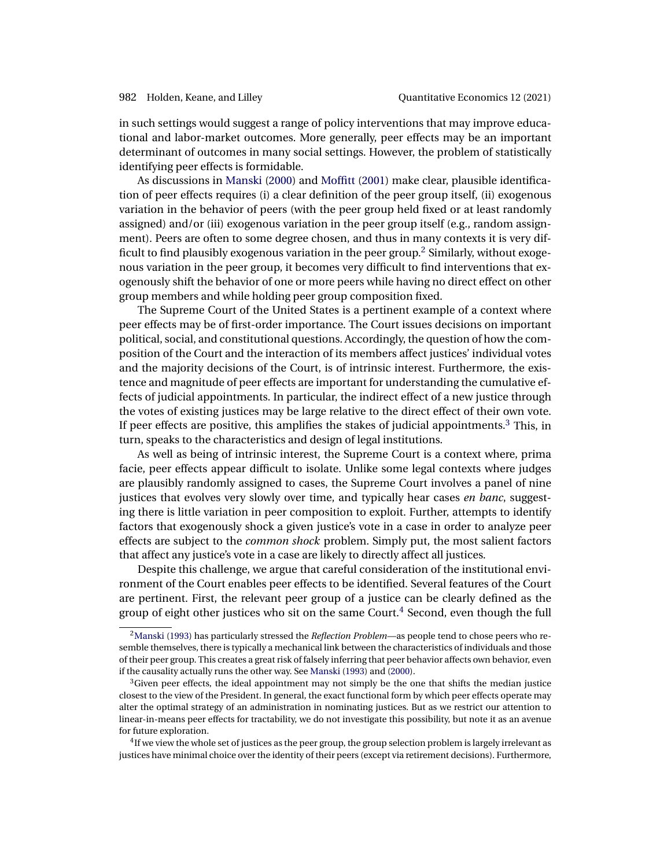<span id="page-1-0"></span>in such settings would suggest a range of policy interventions that may improve educational and labor-market outcomes. More generally, peer effects may be an important determinant of outcomes in many social settings. However, the problem of statistically identifying peer effects is formidable.

As discussions in [Manski](#page-37-0) [\(2000\)](#page-37-0) and [Moffitt](#page-37-0) [\(2001\)](#page-37-0) make clear, plausible identification of peer effects requires (i) a clear definition of the peer group itself, (ii) exogenous variation in the behavior of peers (with the peer group held fixed or at least randomly assigned) and/or (iii) exogenous variation in the peer group itself (e.g., random assignment). Peers are often to some degree chosen, and thus in many contexts it is very difficult to find plausibly exogenous variation in the peer group.<sup>2</sup> Similarly, without exogenous variation in the peer group, it becomes very difficult to find interventions that exogenously shift the behavior of one or more peers while having no direct effect on other group members and while holding peer group composition fixed.

The Supreme Court of the United States is a pertinent example of a context where peer effects may be of first-order importance. The Court issues decisions on important political, social, and constitutional questions. Accordingly, the question of how the composition of the Court and the interaction of its members affect justices' individual votes and the majority decisions of the Court, is of intrinsic interest. Furthermore, the existence and magnitude of peer effects are important for understanding the cumulative effects of judicial appointments. In particular, the indirect effect of a new justice through the votes of existing justices may be large relative to the direct effect of their own vote. If peer effects are positive, this amplifies the stakes of judicial appointments.<sup>3</sup> This, in turn, speaks to the characteristics and design of legal institutions.

As well as being of intrinsic interest, the Supreme Court is a context where, prima facie, peer effects appear difficult to isolate. Unlike some legal contexts where judges are plausibly randomly assigned to cases, the Supreme Court involves a panel of nine justices that evolves very slowly over time, and typically hear cases *en banc*, suggesting there is little variation in peer composition to exploit. Further, attempts to identify factors that exogenously shock a given justice's vote in a case in order to analyze peer effects are subject to the *common shock* problem. Simply put, the most salient factors that affect any justice's vote in a case are likely to directly affect all justices.

Despite this challenge, we argue that careful consideration of the institutional environment of the Court enables peer effects to be identified. Several features of the Court are pertinent. First, the relevant peer group of a justice can be clearly defined as the group of eight other justices who sit on the same Court.<sup>4</sup> Second, even though the full

<sup>4</sup>If we view the whole set of justices as the peer group, the group selection problem is largely irrelevant as justices have minimal choice over the identity of their peers (except via retirement decisions). Furthermore,

[<sup>2</sup>Manski](#page-37-0) [\(1993\)](#page-37-0) has particularly stressed the *Reflection Problem*—as people tend to chose peers who resemble themselves, there is typically a mechanical link between the characteristics of individuals and those of their peer group. This creates a great risk of falsely inferring that peer behavior affects own behavior, even if the causality actually runs the other way. See [Manski](#page-37-0) [\(1993\)](#page-37-0) and [\(2000\)](#page-37-0).

 $3$ Given peer effects, the ideal appointment may not simply be the one that shifts the median justice closest to the view of the President. In general, the exact functional form by which peer effects operate may alter the optimal strategy of an administration in nominating justices. But as we restrict our attention to linear-in-means peer effects for tractability, we do not investigate this possibility, but note it as an avenue for future exploration.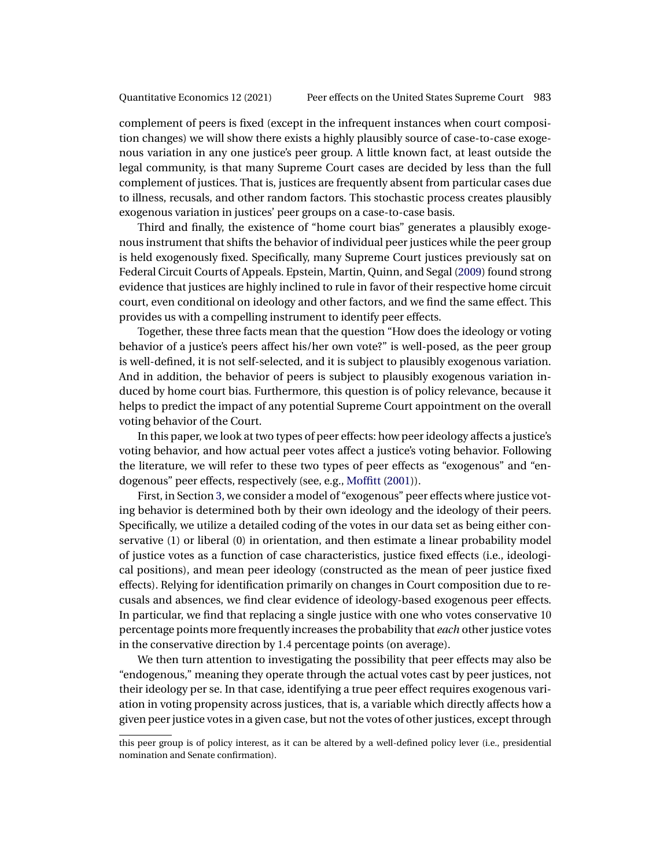<span id="page-2-0"></span>complement of peers is fixed (except in the infrequent instances when court composition changes) we will show there exists a highly plausibly source of case-to-case exogenous variation in any one justice's peer group. A little known fact, at least outside the legal community, is that many Supreme Court cases are decided by less than the full complement of justices. That is, justices are frequently absent from particular cases due to illness, recusals, and other random factors. This stochastic process creates plausibly exogenous variation in justices' peer groups on a case-to-case basis.

Third and finally, the existence of "home court bias" generates a plausibly exogenous instrument that shifts the behavior of individual peer justices while the peer group is held exogenously fixed. Specifically, many Supreme Court justices previously sat on Federal Circuit Courts of Appeals. Epstein, Martin, Quinn, and Segal [\(2009\)](#page-36-0) found strong evidence that justices are highly inclined to rule in favor of their respective home circuit court, even conditional on ideology and other factors, and we find the same effect. This provides us with a compelling instrument to identify peer effects.

Together, these three facts mean that the question "How does the ideology or voting behavior of a justice's peers affect his/her own vote?" is well-posed, as the peer group is well-defined, it is not self-selected, and it is subject to plausibly exogenous variation. And in addition, the behavior of peers is subject to plausibly exogenous variation induced by home court bias. Furthermore, this question is of policy relevance, because it helps to predict the impact of any potential Supreme Court appointment on the overall voting behavior of the Court.

In this paper, we look at two types of peer effects: how peer ideology affects a justice's voting behavior, and how actual peer votes affect a justice's voting behavior. Following the literature, we will refer to these two types of peer effects as "exogenous" and "endogenous" peer effects, respectively (see, e.g., [Moffitt](#page-37-0) [\(2001\)](#page-37-0)).

First, in Section [3,](#page-6-0) we consider a model of "exogenous" peer effects where justice voting behavior is determined both by their own ideology and the ideology of their peers. Specifically, we utilize a detailed coding of the votes in our data set as being either conservative (1) or liberal (0) in orientation, and then estimate a linear probability model of justice votes as a function of case characteristics, justice fixed effects (i.e., ideological positions), and mean peer ideology (constructed as the mean of peer justice fixed effects). Relying for identification primarily on changes in Court composition due to recusals and absences, we find clear evidence of ideology-based exogenous peer effects. In particular, we find that replacing a single justice with one who votes conservative 10 percentage points more frequently increases the probability that *each* other justice votes in the conservative direction by 1-4 percentage points (on average).

We then turn attention to investigating the possibility that peer effects may also be "endogenous," meaning they operate through the actual votes cast by peer justices, not their ideology per se. In that case, identifying a true peer effect requires exogenous variation in voting propensity across justices, that is, a variable which directly affects how a given peer justice votes in a given case, but not the votes of other justices, except through

this peer group is of policy interest, as it can be altered by a well-defined policy lever (i.e., presidential nomination and Senate confirmation).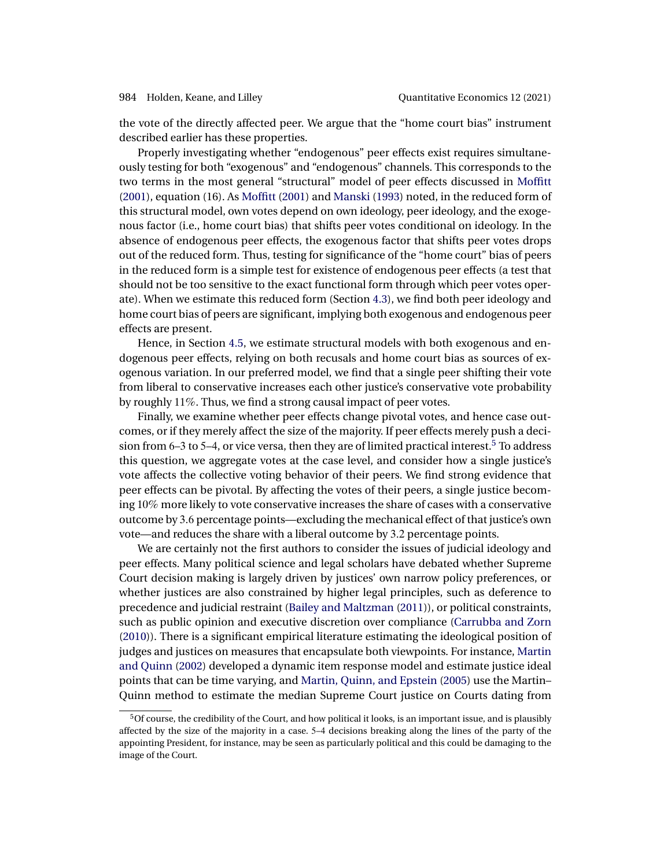<span id="page-3-0"></span>the vote of the directly affected peer. We argue that the "home court bias" instrument described earlier has these properties.

Properly investigating whether "endogenous" peer effects exist requires simultaneously testing for both "exogenous" and "endogenous" channels. This corresponds to the two terms in the most general "structural" model of peer effects discussed in [Moffitt](#page-37-0) [\(2001\)](#page-37-0), equation (16). As [Moffitt](#page-37-0) [\(2001\)](#page-37-0) and [Manski](#page-37-0) [\(1993\)](#page-37-0) noted, in the reduced form of this structural model, own votes depend on own ideology, peer ideology, and the exogenous factor (i.e., home court bias) that shifts peer votes conditional on ideology. In the absence of endogenous peer effects, the exogenous factor that shifts peer votes drops out of the reduced form. Thus, testing for significance of the "home court" bias of peers in the reduced form is a simple test for existence of endogenous peer effects (a test that should not be too sensitive to the exact functional form through which peer votes operate). When we estimate this reduced form (Section [4.3\)](#page-19-0), we find both peer ideology and home court bias of peers are significant, implying both exogenous and endogenous peer effects are present.

Hence, in Section [4.5,](#page-21-0) we estimate structural models with both exogenous and endogenous peer effects, relying on both recusals and home court bias as sources of exogenous variation. In our preferred model, we find that a single peer shifting their vote from liberal to conservative increases each other justice's conservative vote probability by roughly 11%. Thus, we find a strong causal impact of peer votes.

Finally, we examine whether peer effects change pivotal votes, and hence case outcomes, or if they merely affect the size of the majority. If peer effects merely push a decision from  $6-3$  to  $5-4$ , or vice versa, then they are of limited practical interest.<sup>5</sup> To address this question, we aggregate votes at the case level, and consider how a single justice's vote affects the collective voting behavior of their peers. We find strong evidence that peer effects can be pivotal. By affecting the votes of their peers, a single justice becoming 10% more likely to vote conservative increases the share of cases with a conservative outcome by 3-6 percentage points—excluding the mechanical effect of that justice's own vote—and reduces the share with a liberal outcome by 3-2 percentage points.

We are certainly not the first authors to consider the issues of judicial ideology and peer effects. Many political science and legal scholars have debated whether Supreme Court decision making is largely driven by justices' own narrow policy preferences, or whether justices are also constrained by higher legal principles, such as deference to precedence and judicial restraint [\(Bailey and Maltzman](#page-36-0) [\(2011\)](#page-36-0)), or political constraints, such as public opinion and executive discretion over compliance [\(Carrubba and Zorn](#page-36-0) [\(2010\)](#page-36-0)). There is a significant empirical literature estimating the ideological position of judges and justices on measures that encapsulate both viewpoints. For instance, [Martin](#page-37-0) [and Quinn](#page-37-0) [\(2002\)](#page-37-0) developed a dynamic item response model and estimate justice ideal points that can be time varying, and [Martin, Quinn, and Epstein](#page-37-0) [\(2005\)](#page-37-0) use the Martin– Quinn method to estimate the median Supreme Court justice on Courts dating from

<sup>5</sup>Of course, the credibility of the Court, and how political it looks, is an important issue, and is plausibly affected by the size of the majority in a case. 5–4 decisions breaking along the lines of the party of the appointing President, for instance, may be seen as particularly political and this could be damaging to the image of the Court.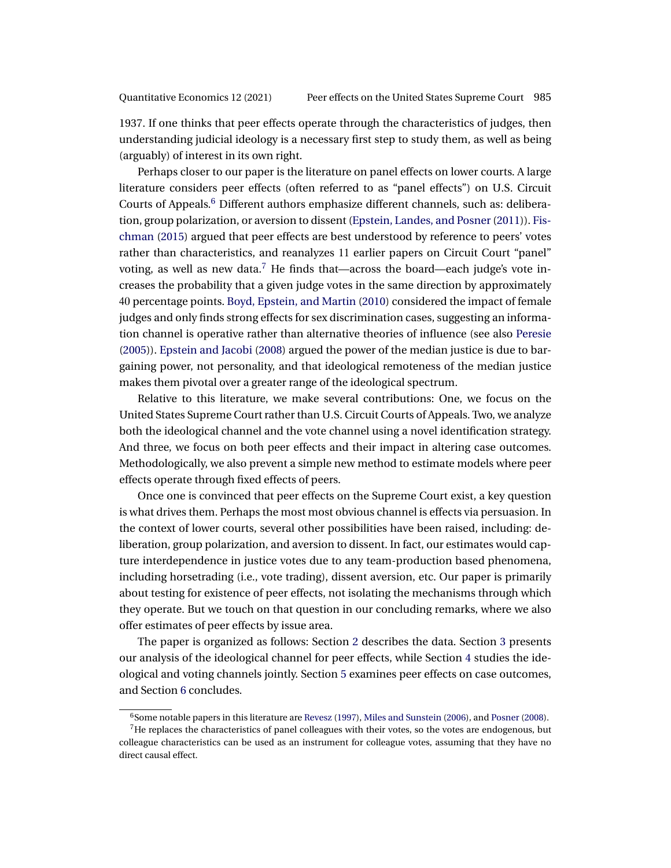<span id="page-4-0"></span>1937. If one thinks that peer effects operate through the characteristics of judges, then understanding judicial ideology is a necessary first step to study them, as well as being (arguably) of interest in its own right.

Perhaps closer to our paper is the literature on panel effects on lower courts. A large literature considers peer effects (often referred to as "panel effects") on U.S. Circuit Courts of Appeals.<sup>6</sup> Different authors emphasize different channels, such as: deliberation, group polarization, or aversion to dissent [\(Epstein, Landes, and Posner\(2011\)](#page-36-0)). [Fis](#page-37-0)[chman](#page-37-0) [\(2015\)](#page-37-0) argued that peer effects are best understood by reference to peers' votes rather than characteristics, and reanalyzes 11 earlier papers on Circuit Court "panel" voting, as well as new data.<sup>7</sup> He finds that—across the board—each judge's vote increases the probability that a given judge votes in the same direction by approximately 40 percentage points. [Boyd, Epstein, and Martin](#page-36-0) [\(2010\)](#page-36-0) considered the impact of female judges and only finds strong effects for sex discrimination cases, suggesting an information channel is operative rather than alternative theories of influence (see also [Peresie](#page-37-0) [\(2005\)](#page-37-0)). [Epstein and Jacobi](#page-36-0) [\(2008\)](#page-36-0) argued the power of the median justice is due to bargaining power, not personality, and that ideological remoteness of the median justice makes them pivotal over a greater range of the ideological spectrum.

Relative to this literature, we make several contributions: One, we focus on the United States Supreme Court rather than U.S. Circuit Courts of Appeals. Two, we analyze both the ideological channel and the vote channel using a novel identification strategy. And three, we focus on both peer effects and their impact in altering case outcomes. Methodologically, we also prevent a simple new method to estimate models where peer effects operate through fixed effects of peers.

Once one is convinced that peer effects on the Supreme Court exist, a key question is what drives them. Perhaps the most most obvious channel is effects via persuasion. In the context of lower courts, several other possibilities have been raised, including: deliberation, group polarization, and aversion to dissent. In fact, our estimates would capture interdependence in justice votes due to any team-production based phenomena, including horsetrading (i.e., vote trading), dissent aversion, etc. Our paper is primarily about testing for existence of peer effects, not isolating the mechanisms through which they operate. But we touch on that question in our concluding remarks, where we also offer estimates of peer effects by issue area.

The paper is organized as follows: Section [2](#page-5-0) describes the data. Section [3](#page-6-0) presents our analysis of the ideological channel for peer effects, while Section [4](#page-16-0) studies the ideological and voting channels jointly. Section [5](#page-24-0) examines peer effects on case outcomes, and Section [6](#page-26-0) concludes.

<sup>6</sup>Some notable papers in this literature are [Revesz](#page-37-0) [\(1997\)](#page-37-0), [Miles and Sunstein](#page-37-0) [\(2006\)](#page-37-0), and [Posner](#page-37-0) [\(2008\)](#page-37-0).

<sup>&</sup>lt;sup>7</sup>He replaces the characteristics of panel colleagues with their votes, so the votes are endogenous, but colleague characteristics can be used as an instrument for colleague votes, assuming that they have no direct causal effect.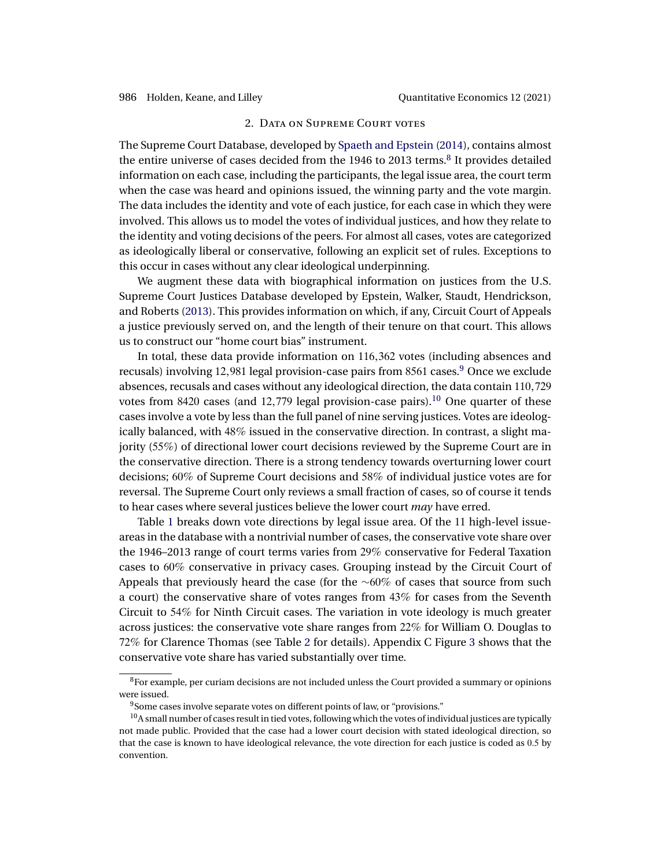### 2. DATA ON SUPREME COURT VOTES

<span id="page-5-0"></span>The Supreme Court Database, developed by [Spaeth and Epstein](#page-38-0) [\(2014\)](#page-38-0), contains almost the entire universe of cases decided from the 1946 to 2013 terms.<sup>8</sup> It provides detailed information on each case, including the participants, the legal issue area, the court term when the case was heard and opinions issued, the winning party and the vote margin. The data includes the identity and vote of each justice, for each case in which they were involved. This allows us to model the votes of individual justices, and how they relate to the identity and voting decisions of the peers. For almost all cases, votes are categorized as ideologically liberal or conservative, following an explicit set of rules. Exceptions to this occur in cases without any clear ideological underpinning.

We augment these data with biographical information on justices from the U.S. Supreme Court Justices Database developed by Epstein, Walker, Staudt, Hendrickson, and Roberts [\(2013\)](#page-37-0). This provides information on which, if any, Circuit Court of Appeals a justice previously served on, and the length of their tenure on that court. This allows us to construct our "home court bias" instrument.

In total, these data provide information on 116,362 votes (including absences and recusals) involving 12,981 legal provision-case pairs from  $8561$  cases.<sup>9</sup> Once we exclude absences, recusals and cases without any ideological direction, the data contain 110,729 votes from 8420 cases (and 12,779 legal provision-case pairs).<sup>10</sup> One quarter of these cases involve a vote by less than the full panel of nine serving justices. Votes are ideologically balanced, with 48% issued in the conservative direction. In contrast, a slight majority (55%) of directional lower court decisions reviewed by the Supreme Court are in the conservative direction. There is a strong tendency towards overturning lower court decisions; 60% of Supreme Court decisions and 58% of individual justice votes are for reversal. The Supreme Court only reviews a small fraction of cases, so of course it tends to hear cases where several justices believe the lower court *may* have erred.

Table [1](#page-6-0) breaks down vote directions by legal issue area. Of the 11 high-level issueareas in the database with a nontrivial number of cases, the conservative vote share over the 1946–2013 range of court terms varies from 29% conservative for Federal Taxation cases to 60% conservative in privacy cases. Grouping instead by the Circuit Court of Appeals that previously heard the case (for the  $~\sim 60\%$  of cases that source from such a court) the conservative share of votes ranges from 43% for cases from the Seventh Circuit to 54% for Ninth Circuit cases. The variation in vote ideology is much greater across justices: the conservative vote share ranges from 22% for William O. Douglas to 72% for Clarence Thomas (see Table [2](#page-7-0) for details). Appendix C Figure [3](#page-36-0) shows that the conservative vote share has varied substantially over time.

 $8$ For example, per curiam decisions are not included unless the Court provided a summary or opinions were issued.

<sup>&</sup>lt;sup>9</sup>Some cases involve separate votes on different points of law, or "provisions."

 $10A$  small number of cases result in tied votes, following which the votes of individual justices are typically not made public. Provided that the case had a lower court decision with stated ideological direction, so that the case is known to have ideological relevance, the vote direction for each justice is coded as 0-5 by convention.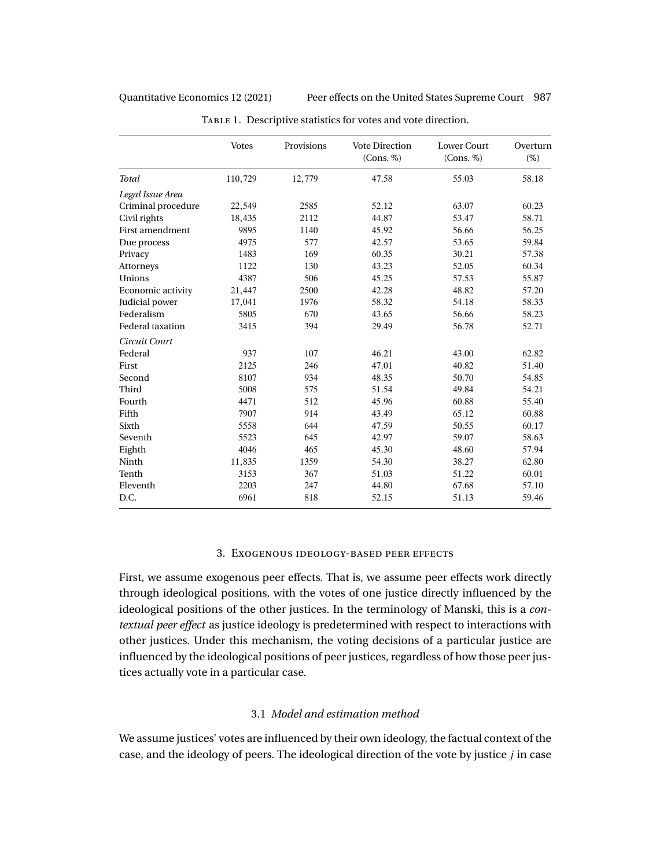<span id="page-6-0"></span>Quantitative Economics 12 (2021) Peer effects on the United States Supreme Court 987

|                         | <b>Votes</b> | Provisions | <b>Vote Direction</b><br>(Cons. %) | <b>Lower Court</b><br>(Cons. %) | Overturn<br>$(\%)$ |
|-------------------------|--------------|------------|------------------------------------|---------------------------------|--------------------|
| Total                   | 110,729      | 12,779     | 47.58                              | 55.03                           | 58.18              |
| Legal Issue Area        |              |            |                                    |                                 |                    |
| Criminal procedure      | 22,549       | 2585       | 52.12                              | 63.07                           | 60.23              |
| Civil rights            | 18,435       | 2112       | 44.87                              | 53.47                           | 58.71              |
| First amendment         | 9895         | 1140       | 45.92                              | 56.66                           | 56.25              |
| Due process             | 4975         | 577        | 42.57                              | 53.65                           | 59.84              |
| Privacy                 | 1483         | 169        | 60.35                              | 30.21                           | 57.38              |
| Attorneys               | 1122         | 130        | 43.23                              | 52.05                           | 60.34              |
| Unions                  | 4387         | 506        | 45.25                              | 57.53                           | 55.87              |
| Economic activity       | 21,447       | 2500       | 42.28                              | 48.82                           | 57.20              |
| Judicial power          | 17,041       | 1976       | 58.32                              | 54.18                           | 58.33              |
| Federalism              | 5805         | 670        | 43.65                              | 56.66                           | 58.23              |
| <b>Federal taxation</b> | 3415         | 394        | 29.49                              | 56.78                           | 52.71              |
| Circuit Court           |              |            |                                    |                                 |                    |
| Federal                 | 937          | 107        | 46.21                              | 43.00                           | 62.82              |
| First                   | 2125         | 246        | 47.01                              | 40.82                           | 51.40              |
| Second                  | 8107         | 934        | 48.35                              | 50.70                           | 54.85              |
| Third                   | 5008         | 575        | 51.54                              | 49.84                           | 54.21              |
| Fourth                  | 4471         | 512        | 45.96                              | 60.88                           | 55.40              |
| Fifth                   | 7907         | 914        | 43.49                              | 65.12                           | 60.88              |
| Sixth                   | 5558         | 644        | 47.59                              | 50.55                           | 60.17              |
| Seventh                 | 5523         | 645        | 42.97                              | 59.07                           | 58.63              |
| Eighth                  | 4046         | 465        | 45.30                              | 48.60                           | 57.94              |
| Ninth                   | 11,835       | 1359       | 54.30                              | 38.27                           | 62.80              |
| Tenth                   | 3153         | 367        | 51.03                              | 51.22                           | 60.01              |
| Eleventh                | 2203         | 247        | 44.80                              | 67.68                           | 57.10              |
| D.C.                    | 6961         | 818        | 52.15                              | 51.13                           | 59.46              |

TABLE 1. Descriptive statistics for votes and vote direction.

# 3. Exogenous ideology-based peer effects

First, we assume exogenous peer effects. That is, we assume peer effects work directly through ideological positions, with the votes of one justice directly influenced by the ideological positions of the other justices. In the terminology of Manski, this is a *contextual peer effect* as justice ideology is predetermined with respect to interactions with other justices. Under this mechanism, the voting decisions of a particular justice are influenced by the ideological positions of peer justices, regardless of how those peer justices actually vote in a particular case.

# 3.1 *Model and estimation method*

We assume justices' votes are influenced by their own ideology, the factual context of the case, and the ideology of peers. The ideological direction of the vote by justice  $j$  in case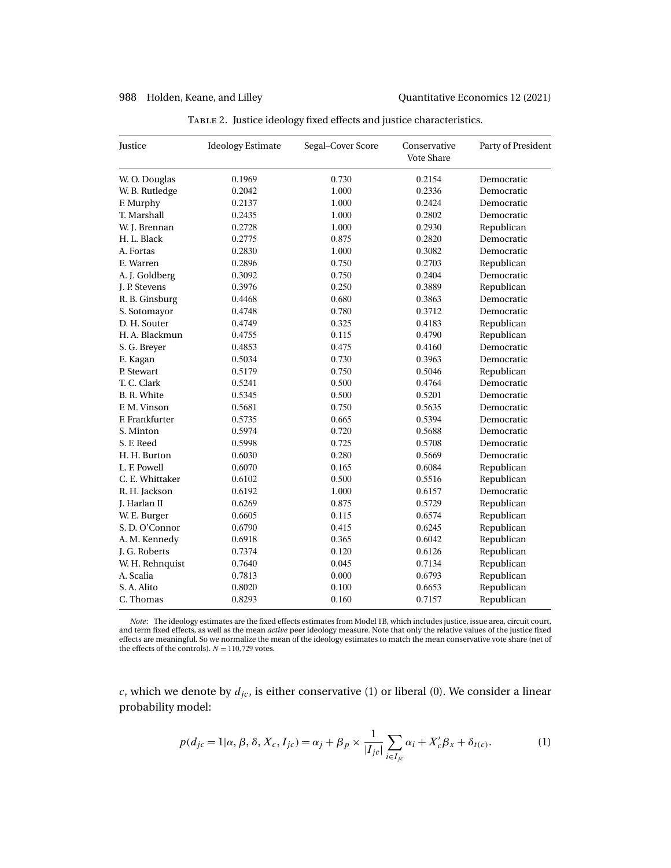<span id="page-7-0"></span>

| Justice         | <b>Ideology Estimate</b> | Segal-Cover Score | Conservative<br><b>Vote Share</b> | Party of President |
|-----------------|--------------------------|-------------------|-----------------------------------|--------------------|
| W. O. Douglas   | 0.1969                   | 0.730             | 0.2154                            | Democratic         |
| W. B. Rutledge  | 0.2042                   | 1.000             | 0.2336                            | Democratic         |
| F. Murphy       | 0.2137                   | 1.000             | 0.2424                            | Democratic         |
| T. Marshall     | 0.2435                   | 1.000             | 0.2802                            | Democratic         |
| W. J. Brennan   | 0.2728                   | 1.000             | 0.2930                            | Republican         |
| H. L. Black     | 0.2775                   | 0.875             | 0.2820                            | Democratic         |
| A. Fortas       | 0.2830                   | 1.000             | 0.3082                            | Democratic         |
| E. Warren       | 0.2896                   | 0.750             | 0.2703                            | Republican         |
| A. J. Goldberg  | 0.3092                   | 0.750             | 0.2404                            | Democratic         |
| J. P. Stevens   | 0.3976                   | 0.250             | 0.3889                            | Republican         |
| R. B. Ginsburg  | 0.4468                   | 0.680             | 0.3863                            | Democratic         |
| S. Sotomayor    | 0.4748                   | 0.780             | 0.3712                            | Democratic         |
| D. H. Souter    | 0.4749                   | 0.325             | 0.4183                            | Republican         |
| H. A. Blackmun  | 0.4755                   | 0.115             | 0.4790                            | Republican         |
| S. G. Brever    | 0.4853                   | 0.475             | 0.4160                            | Democratic         |
| E. Kagan        | 0.5034                   | 0.730             | 0.3963                            | Democratic         |
| P. Stewart      | 0.5179                   | 0.750             | 0.5046                            | Republican         |
| T. C. Clark     | 0.5241                   | 0.500             | 0.4764                            | Democratic         |
| B. R. White     | 0.5345                   | 0.500             | 0.5201                            | Democratic         |
| F. M. Vinson    | 0.5681                   | 0.750             | 0.5635                            | Democratic         |
| F. Frankfurter  | 0.5735                   | 0.665             | 0.5394                            | Democratic         |
| S. Minton       | 0.5974                   | 0.720             | 0.5688                            | Democratic         |
| S. F. Reed      | 0.5998                   | 0.725             | 0.5708                            | Democratic         |
| H. H. Burton    | 0.6030                   | 0.280             | 0.5669                            | Democratic         |
| L. F. Powell    | 0.6070                   | 0.165             | 0.6084                            | Republican         |
| C. E. Whittaker | 0.6102                   | 0.500             | 0.5516                            | Republican         |
| R. H. Jackson   | 0.6192                   | 1.000             | 0.6157                            | Democratic         |
| J. Harlan II    | 0.6269                   | 0.875             | 0.5729                            | Republican         |
| W. E. Burger    | 0.6605                   | 0.115             | 0.6574                            | Republican         |
| S.D.O'Connor    | 0.6790                   | 0.415             | 0.6245                            | Republican         |
| A. M. Kennedy   | 0.6918                   | 0.365             | 0.6042                            | Republican         |
| J. G. Roberts   | 0.7374                   | 0.120             | 0.6126                            | Republican         |
| W. H. Rehnquist | 0.7640                   | 0.045             | 0.7134                            | Republican         |
| A. Scalia       | 0.7813                   | 0.000             | 0.6793                            | Republican         |
| S.A. Alito      | 0.8020                   | 0.100             | 0.6653                            | Republican         |
| C. Thomas       | 0.8293                   | 0.160             | 0.7157                            | Republican         |

TABLE 2. Justice ideology fixed effects and justice characteristics.

*Note*: The ideology estimates are the fixed effects estimates from Model 1B, which includes justice, issue area, circuit court, and term fixed effects, as well as the mean *active* peer ideology measure. Note that only the relative values of the justice fixed effects are meaningful. So we normalize the mean of the ideology estimates to match the mean conservative vote share (net of the effects of the controls).  $N = 110,729$  votes.

 $c,$  which we denote by  $d_{jc}$  , is either conservative (1) or liberal (0). We consider a linear probability model:

$$
p(d_{jc} = 1 | \alpha, \beta, \delta, X_c, I_{jc}) = \alpha_j + \beta_p \times \frac{1}{|I_{jc}|} \sum_{i \in I_{jc}} \alpha_i + X_c' \beta_x + \delta_{t(c)}.
$$
 (1)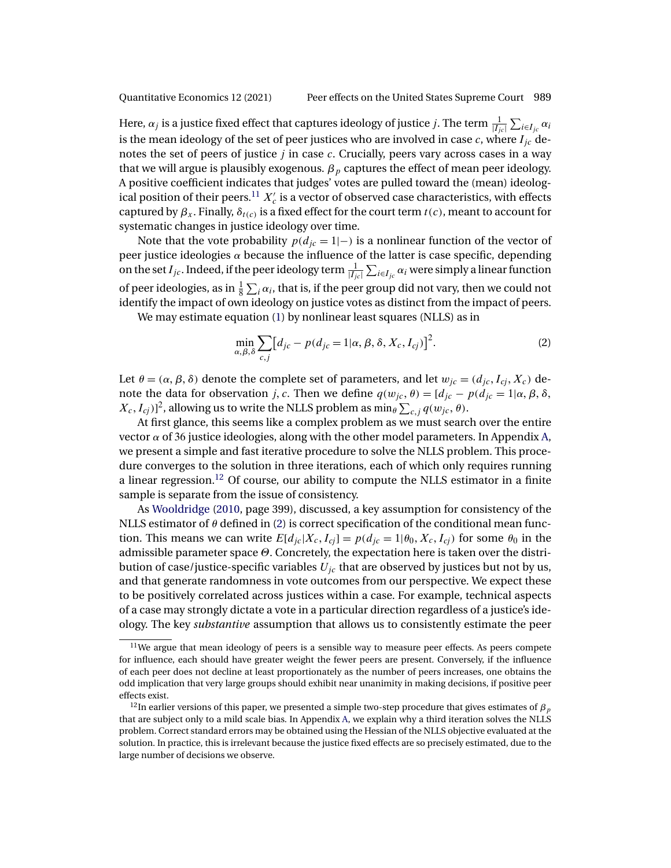<span id="page-8-0"></span>

Here,  $\alpha_j$  is a justice fixed effect that captures ideology of justice  $j.$  The term  $\frac{1}{|I_{jc}|}\sum_{i\in I_{jc}}\alpha_i$ is the mean ideology of the set of peer justices who are involved in case c, where  $I_{ic}$  denotes the set of peers of justice  $j$  in case  $c$ . Crucially, peers vary across cases in a way that we will argue is plausibly exogenous.  $\beta_p$  captures the effect of mean peer ideology. A positive coefficient indicates that judges' votes are pulled toward the (mean) ideological position of their peers. $^{11}$   $X^{\prime}_c$  is a vector of observed case characteristics, with effects captured by  $\beta_x$ . Finally,  $\delta_{t(c)}$  is a fixed effect for the court term  $t(c)$ , meant to account for systematic changes in justice ideology over time.

Note that the vote probability  $p(d_{ic} = 1|-\text{)}$  is a nonlinear function of the vector of peer justice ideologies  $\alpha$  because the influence of the latter is case specific, depending on the set  $I_{jc}$ . Indeed, if the peer ideology term  $\frac{1}{|I_{jc}|}\sum_{i\in I_{jc}}\alpha_i$  were simply a linear function of peer ideologies, as in  $\frac{1}{8}\sum_i \alpha_i$ , that is, if the peer group did not vary, then we could not identify the impact of own ideology on justice votes as distinct from the impact of peers.

We may estimate equation [\(1\)](#page-7-0) by nonlinear least squares (NLLS) as in

$$
\min_{\alpha,\beta,\delta} \sum_{c,j} \left[ d_{jc} - p(d_{jc} = 1 | \alpha, \beta, \delta, X_c, I_{cj}) \right]^2.
$$
 (2)

Let  $\theta = (\alpha, \beta, \delta)$  denote the complete set of parameters, and let  $w_{jc} = (d_{jc}, I_{cj}, X_c)$  denote the data for observation j, c. Then we define  $q(w_{ic}, \theta) = [d_{ic} - p(d_{ic} = 1 | \alpha, \beta, \delta,$  $(X_c, I_{cj})]^2$ , allowing us to write the NLLS problem as  $\min_{\theta}\sum_{c,j}q(w_{jc},\theta).$ 

At first glance, this seems like a complex problem as we must search over the entire vector  $\alpha$  of 36 justice ideologies, along with the other model parameters. In Appendix [A,](#page-28-0) we present a simple and fast iterative procedure to solve the NLLS problem. This procedure converges to the solution in three iterations, each of which only requires running a linear regression.12 Of course, our ability to compute the NLLS estimator in a finite sample is separate from the issue of consistency.

As [Wooldridge](#page-38-0) [\(2010,](#page-38-0) page 399), discussed, a key assumption for consistency of the NLLS estimator of  $\theta$  defined in (2) is correct specification of the conditional mean function. This means we can write  $E[d_{ic}|X_c, I_{ci}] = p(d_{ic} = 1 | \theta_0, X_c, I_{ci})$  for some  $\theta_0$  in the admissible parameter space  $\Theta$ . Concretely, the expectation here is taken over the distribution of case/justice-specific variables  $U_{jc}$  that are observed by justices but not by us, and that generate randomness in vote outcomes from our perspective. We expect these to be positively correlated across justices within a case. For example, technical aspects of a case may strongly dictate a vote in a particular direction regardless of a justice's ideology. The key *substantive* assumption that allows us to consistently estimate the peer

 $11$ We argue that mean ideology of peers is a sensible way to measure peer effects. As peers compete for influence, each should have greater weight the fewer peers are present. Conversely, if the influence of each peer does not decline at least proportionately as the number of peers increases, one obtains the odd implication that very large groups should exhibit near unanimity in making decisions, if positive peer effects exist.

<sup>&</sup>lt;sup>12</sup>In earlier versions of this paper, we presented a simple two-step procedure that gives estimates of  $\beta_p$ that are subject only to a mild scale bias. In Appendix [A,](#page-28-0) we explain why a third iteration solves the NLLS problem. Correct standard errors may be obtained using the Hessian of the NLLS objective evaluated at the solution. In practice, this is irrelevant because the justice fixed effects are so precisely estimated, due to the large number of decisions we observe.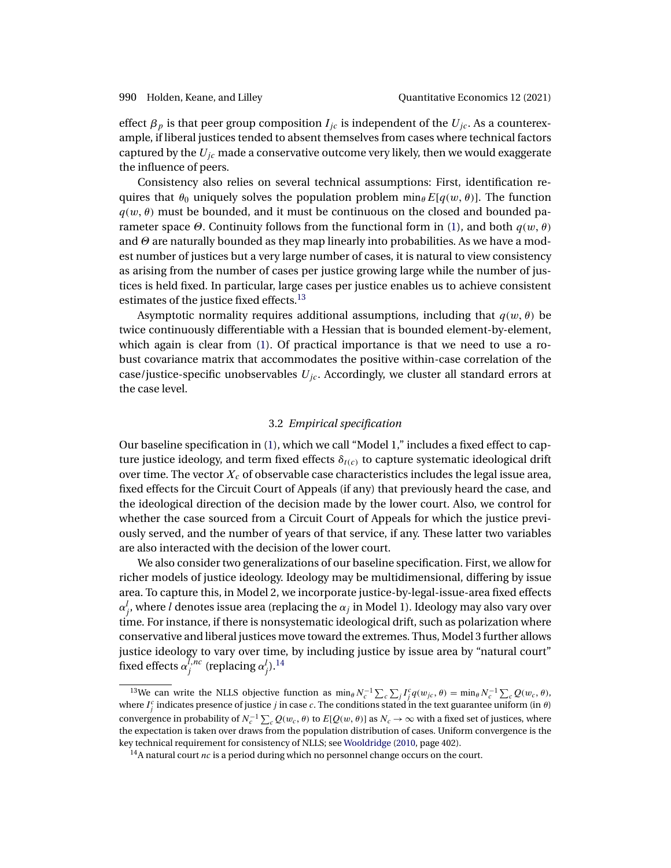<span id="page-9-0"></span>effect  $\beta_p$  is that peer group composition  $I_{jc}$  is independent of the  $U_{jc}$ . As a counterexample, if liberal justices tended to absent themselves from cases where technical factors captured by the  $U_{jc}$  made a conservative outcome very likely, then we would exaggerate the influence of peers.

Consistency also relies on several technical assumptions: First, identification requires that  $\theta_0$  uniquely solves the population problem  $\min_{\theta} E[q(w, \theta)]$ . The function  $q(w, \theta)$  must be bounded, and it must be continuous on the closed and bounded parameter space  $\Theta$ . Continuity follows from the functional form in [\(1\)](#page-7-0), and both  $q(w, \theta)$ and  $\Theta$  are naturally bounded as they map linearly into probabilities. As we have a modest number of justices but a very large number of cases, it is natural to view consistency as arising from the number of cases per justice growing large while the number of justices is held fixed. In particular, large cases per justice enables us to achieve consistent estimates of the justice fixed effects.<sup>13</sup>

Asymptotic normality requires additional assumptions, including that  $q(w, \theta)$  be twice continuously differentiable with a Hessian that is bounded element-by-element, which again is clear from [\(1\)](#page-7-0). Of practical importance is that we need to use a robust covariance matrix that accommodates the positive within-case correlation of the case/justice-specific unobservables  $U_{ic}$ . Accordingly, we cluster all standard errors at the case level.

## 3.2 *Empirical specification*

Our baseline specification in [\(1\)](#page-7-0), which we call "Model 1," includes a fixed effect to capture justice ideology, and term fixed effects  $\delta_{t(c)}$  to capture systematic ideological drift over time. The vector  $X_c$  of observable case characteristics includes the legal issue area, fixed effects for the Circuit Court of Appeals (if any) that previously heard the case, and the ideological direction of the decision made by the lower court. Also, we control for whether the case sourced from a Circuit Court of Appeals for which the justice previously served, and the number of years of that service, if any. These latter two variables are also interacted with the decision of the lower court.

We also consider two generalizations of our baseline specification. First, we allow for richer models of justice ideology. Ideology may be multidimensional, differing by issue area. To capture this, in Model 2, we incorporate justice-by-legal-issue-area fixed effects  $\alpha_j^l$ , where  $l$  denotes issue area (replacing the  $\alpha_j$  in Model 1). Ideology may also vary over time. For instance, if there is nonsystematic ideological drift, such as polarization where conservative and liberal justices move toward the extremes. Thus, Model 3 further allows justice ideology to vary over time, by including justice by issue area by "natural court" fixed effects  $\alpha_j^{l,nc}$  (replacing  $\alpha_j^l$ ).<sup>14</sup>

<sup>&</sup>lt;sup>13</sup>We can write the NLLS objective function as  $\min_{\theta} N_c^{-1} \sum_c \sum_j I_j^c q(w_{jc}, \theta) = \min_{\theta} N_c^{-1} \sum_c Q(w_c, \theta)$ , where  $I_j^c$  indicates presence of justice *j* in case *c*. The conditions stated in the text guarantee uniform (in  $\theta$ ) convergence in probability of  $N_c^{-1}\sum_c Q(w_c, \theta)$  to  $E[Q(w, \theta)]$  as  $N_c \to \infty$  with a fixed set of justices, where the expectation is taken over draws from the population distribution of cases. Uniform convergence is the key technical requirement for consistency of NLLS; see [Wooldridge](#page-38-0) [\(2010,](#page-38-0) page 402).

<sup>&</sup>lt;sup>14</sup>A natural court *nc* is a period during which no personnel change occurs on the court.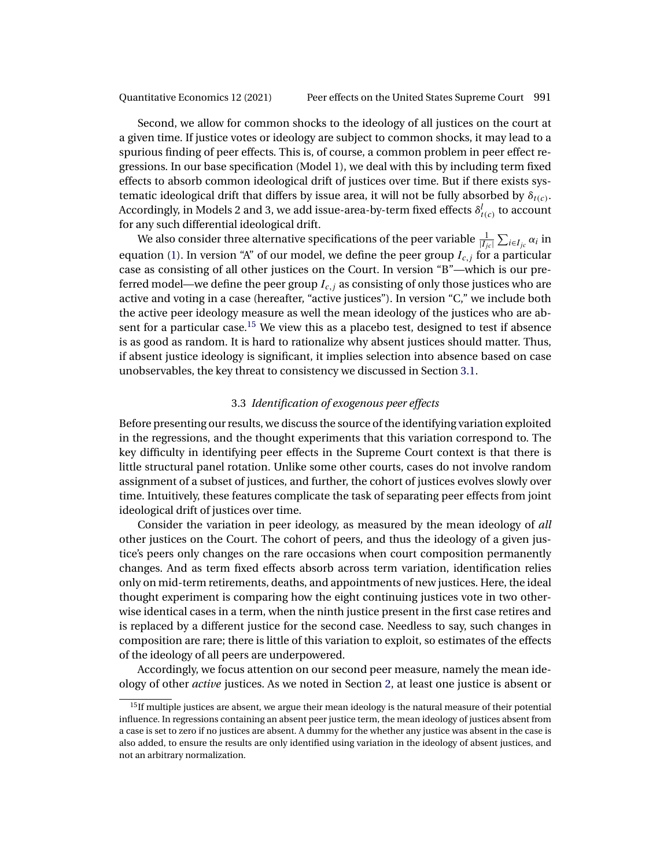Second, we allow for common shocks to the ideology of all justices on the court at a given time. If justice votes or ideology are subject to common shocks, it may lead to a spurious finding of peer effects. This is, of course, a common problem in peer effect regressions. In our base specification (Model 1), we deal with this by including term fixed effects to absorb common ideological drift of justices over time. But if there exists systematic ideological drift that differs by issue area, it will not be fully absorbed by  $\delta_{t(c)}$ . Accordingly, in Models 2 and 3, we add issue-area-by-term fixed effects  $\delta_{t(c)}^{l}$  to account for any such differential ideological drift.

We also consider three alternative specifications of the peer variable  $\frac{1}{|I_{jc}|}\sum_{i\in I_{jc}}\alpha_i$  in equation [\(1\)](#page-7-0). In version "A" of our model, we define the peer group  $I_{c,i}$  for a particular case as consisting of all other justices on the Court. In version "B"—which is our preferred model—we define the peer group  $I_{c,i}$  as consisting of only those justices who are active and voting in a case (hereafter, "active justices"). In version "C," we include both the active peer ideology measure as well the mean ideology of the justices who are absent for a particular case.<sup>15</sup> We view this as a placebo test, designed to test if absence is as good as random. It is hard to rationalize why absent justices should matter. Thus, if absent justice ideology is significant, it implies selection into absence based on case unobservables, the key threat to consistency we discussed in Section [3.1.](#page-6-0)

# 3.3 *Identification of exogenous peer effects*

Before presenting our results, we discuss the source of the identifying variation exploited in the regressions, and the thought experiments that this variation correspond to. The key difficulty in identifying peer effects in the Supreme Court context is that there is little structural panel rotation. Unlike some other courts, cases do not involve random assignment of a subset of justices, and further, the cohort of justices evolves slowly over time. Intuitively, these features complicate the task of separating peer effects from joint ideological drift of justices over time.

Consider the variation in peer ideology, as measured by the mean ideology of *all* other justices on the Court. The cohort of peers, and thus the ideology of a given justice's peers only changes on the rare occasions when court composition permanently changes. And as term fixed effects absorb across term variation, identification relies only on mid-term retirements, deaths, and appointments of new justices. Here, the ideal thought experiment is comparing how the eight continuing justices vote in two otherwise identical cases in a term, when the ninth justice present in the first case retires and is replaced by a different justice for the second case. Needless to say, such changes in composition are rare; there is little of this variation to exploit, so estimates of the effects of the ideology of all peers are underpowered.

Accordingly, we focus attention on our second peer measure, namely the mean ideology of other *active* justices. As we noted in Section [2,](#page-5-0) at least one justice is absent or

<sup>&</sup>lt;sup>15</sup>If multiple justices are absent, we argue their mean ideology is the natural measure of their potential influence. In regressions containing an absent peer justice term, the mean ideology of justices absent from a case is set to zero if no justices are absent. A dummy for the whether any justice was absent in the case is also added, to ensure the results are only identified using variation in the ideology of absent justices, and not an arbitrary normalization.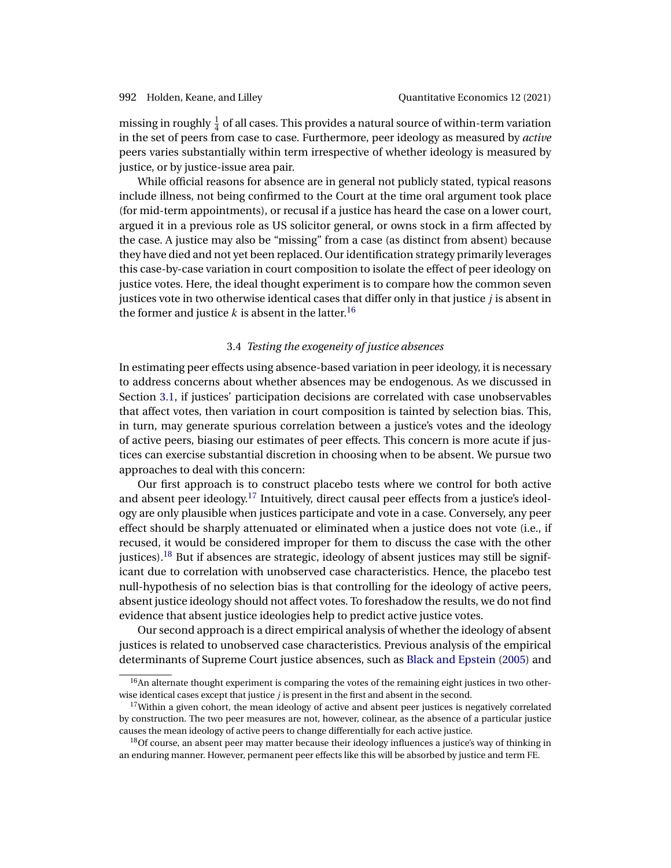<span id="page-11-0"></span>missing in roughly  $\frac{1}{4}$  of all cases. This provides a natural source of within-term variation in the set of peers from case to case. Furthermore, peer ideology as measured by *active* peers varies substantially within term irrespective of whether ideology is measured by justice, or by justice-issue area pair.

While official reasons for absence are in general not publicly stated, typical reasons include illness, not being confirmed to the Court at the time oral argument took place (for mid-term appointments), or recusal if a justice has heard the case on a lower court, argued it in a previous role as US solicitor general, or owns stock in a firm affected by the case. A justice may also be "missing" from a case (as distinct from absent) because they have died and not yet been replaced. Our identification strategy primarily leverages this case-by-case variation in court composition to isolate the effect of peer ideology on justice votes. Here, the ideal thought experiment is to compare how the common seven justices vote in two otherwise identical cases that differ only in that justice  $j$  is absent in the former and justice k is absent in the latter.<sup>16</sup>

# 3.4 *Testing the exogeneity of justice absences*

In estimating peer effects using absence-based variation in peer ideology, it is necessary to address concerns about whether absences may be endogenous. As we discussed in Section [3.1,](#page-6-0) if justices' participation decisions are correlated with case unobservables that affect votes, then variation in court composition is tainted by selection bias. This, in turn, may generate spurious correlation between a justice's votes and the ideology of active peers, biasing our estimates of peer effects. This concern is more acute if justices can exercise substantial discretion in choosing when to be absent. We pursue two approaches to deal with this concern:

Our first approach is to construct placebo tests where we control for both active and absent peer ideology.<sup>17</sup> Intuitively, direct causal peer effects from a justice's ideology are only plausible when justices participate and vote in a case. Conversely, any peer effect should be sharply attenuated or eliminated when a justice does not vote (i.e., if recused, it would be considered improper for them to discuss the case with the other justices).<sup>18</sup> But if absences are strategic, ideology of absent justices may still be significant due to correlation with unobserved case characteristics. Hence, the placebo test null-hypothesis of no selection bias is that controlling for the ideology of active peers, absent justice ideology should not affect votes. To foreshadow the results, we do not find evidence that absent justice ideologies help to predict active justice votes.

Our second approach is a direct empirical analysis of whether the ideology of absent justices is related to unobserved case characteristics. Previous analysis of the empirical determinants of Supreme Court justice absences, such as [Black and Epstein](#page-36-0) [\(2005\)](#page-36-0) and

 $16$ An alternate thought experiment is comparing the votes of the remaining eight justices in two otherwise identical cases except that justice  $j$  is present in the first and absent in the second.

 $17$  Within a given cohort, the mean ideology of active and absent peer justices is negatively correlated by construction. The two peer measures are not, however, colinear, as the absence of a particular justice causes the mean ideology of active peers to change differentially for each active justice.

<sup>&</sup>lt;sup>18</sup>Of course, an absent peer may matter because their ideology influences a justice's way of thinking in an enduring manner. However, permanent peer effects like this will be absorbed by justice and term FE.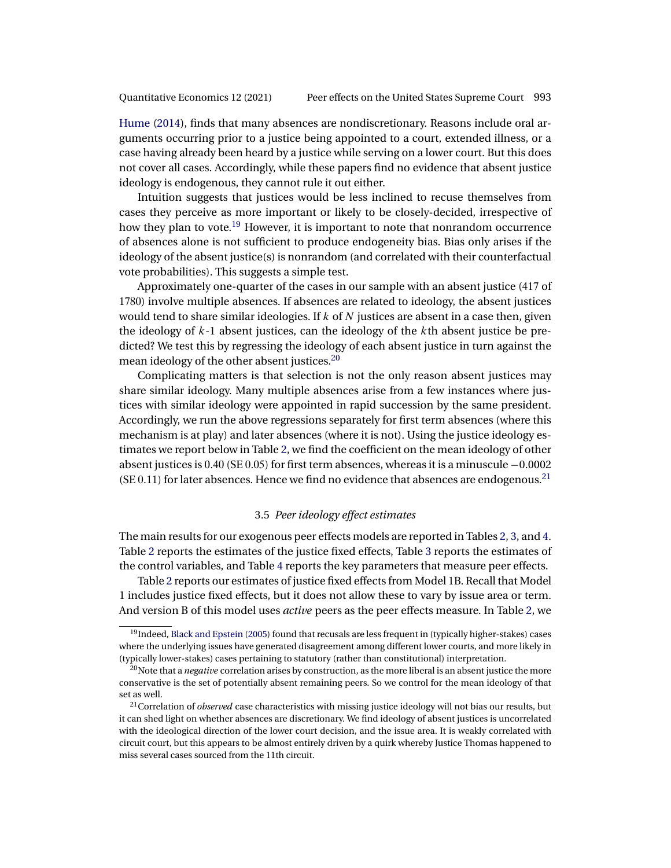<span id="page-12-0"></span>[Hume](#page-37-0) [\(2014\)](#page-37-0), finds that many absences are nondiscretionary. Reasons include oral arguments occurring prior to a justice being appointed to a court, extended illness, or a case having already been heard by a justice while serving on a lower court. But this does not cover all cases. Accordingly, while these papers find no evidence that absent justice ideology is endogenous, they cannot rule it out either.

Intuition suggests that justices would be less inclined to recuse themselves from cases they perceive as more important or likely to be closely-decided, irrespective of how they plan to vote.<sup>19</sup> However, it is important to note that nonrandom occurrence of absences alone is not sufficient to produce endogeneity bias. Bias only arises if the ideology of the absent justice(s) is nonrandom (and correlated with their counterfactual vote probabilities). This suggests a simple test.

Approximately one-quarter of the cases in our sample with an absent justice (417 of 1780) involve multiple absences. If absences are related to ideology, the absent justices would tend to share similar ideologies. If  $k$  of  $N$  justices are absent in a case then, given the ideology of  $k-1$  absent justices, can the ideology of the kth absent justice be predicted? We test this by regressing the ideology of each absent justice in turn against the mean ideology of the other absent justices.<sup>20</sup>

Complicating matters is that selection is not the only reason absent justices may share similar ideology. Many multiple absences arise from a few instances where justices with similar ideology were appointed in rapid succession by the same president. Accordingly, we run the above regressions separately for first term absences (where this mechanism is at play) and later absences (where it is not). Using the justice ideology estimates we report below in Table [2,](#page-7-0) we find the coefficient on the mean ideology of other absent justices is  $0.40$  (SE  $0.05$ ) for first term absences, whereas it is a minuscule  $-0.0002$  $(SE 0.11)$  for later absences. Hence we find no evidence that absences are endogenous.<sup>21</sup>

## 3.5 *Peer ideology effect estimates*

The main results for our exogenous peer effects models are reported in Tables [2,](#page-7-0) [3,](#page-13-0) and [4.](#page-14-0) Table [2](#page-7-0) reports the estimates of the justice fixed effects, Table [3](#page-13-0) reports the estimates of the control variables, and Table [4](#page-14-0) reports the key parameters that measure peer effects.

Table [2](#page-7-0) reports our estimates of justice fixed effects from Model 1B. Recall that Model 1 includes justice fixed effects, but it does not allow these to vary by issue area or term. And version B of this model uses *active* peers as the peer effects measure. In Table [2,](#page-7-0) we

<sup>&</sup>lt;sup>19</sup>Indeed, [Black and Epstein](#page-36-0) [\(2005\)](#page-36-0) found that recusals are less frequent in (typically higher-stakes) cases where the underlying issues have generated disagreement among different lower courts, and more likely in (typically lower-stakes) cases pertaining to statutory (rather than constitutional) interpretation.

<sup>&</sup>lt;sup>20</sup>Note that a *negative* correlation arises by construction, as the more liberal is an absent justice the more conservative is the set of potentially absent remaining peers. So we control for the mean ideology of that set as well.

<sup>&</sup>lt;sup>21</sup>Correlation of *observed* case characteristics with missing justice ideology will not bias our results, but it can shed light on whether absences are discretionary. We find ideology of absent justices is uncorrelated with the ideological direction of the lower court decision, and the issue area. It is weakly correlated with circuit court, but this appears to be almost entirely driven by a quirk whereby Justice Thomas happened to miss several cases sourced from the 11th circuit.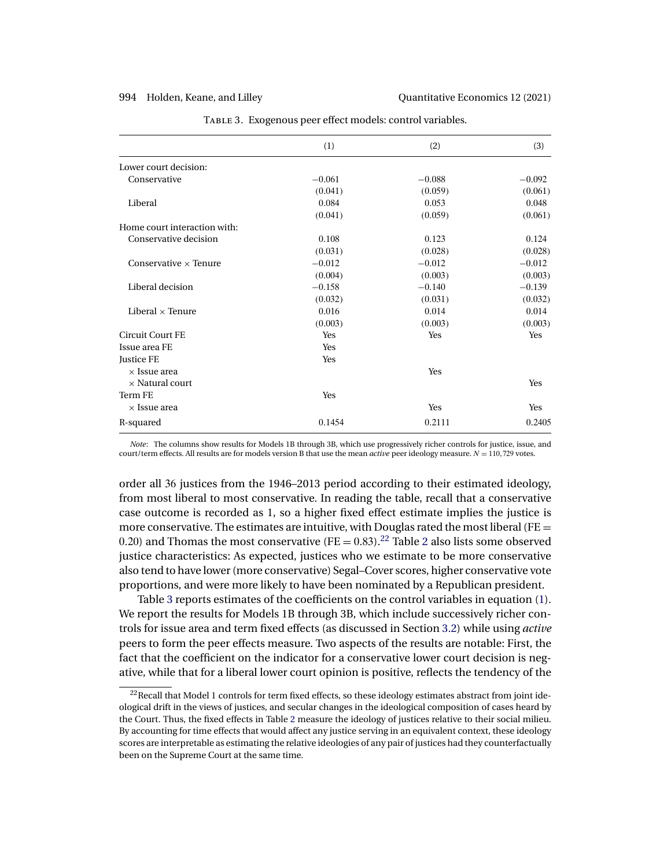<span id="page-13-0"></span>

|                              | (1)      | (2)      | (3)      |
|------------------------------|----------|----------|----------|
| Lower court decision:        |          |          |          |
| Conservative                 | $-0.061$ | $-0.088$ | $-0.092$ |
|                              | (0.041)  | (0.059)  | (0.061)  |
| Liberal                      | 0.084    | 0.053    | 0.048    |
|                              | (0.041)  | (0.059)  | (0.061)  |
| Home court interaction with: |          |          |          |
| Conservative decision        | 0.108    | 0.123    | 0.124    |
|                              | (0.031)  | (0.028)  | (0.028)  |
| Conservative $\times$ Tenure | $-0.012$ | $-0.012$ | $-0.012$ |
|                              | (0.004)  | (0.003)  | (0.003)  |
| Liberal decision             | $-0.158$ | $-0.140$ | $-0.139$ |
|                              | (0.032)  | (0.031)  | (0.032)  |
| Liberal $\times$ Tenure      | 0.016    | 0.014    | 0.014    |
|                              | (0.003)  | (0.003)  | (0.003)  |
| Circuit Court FE             | Yes      | Yes      | Yes      |
| Issue area FE                | Yes      |          |          |
| Justice FE                   | Yes      |          |          |
| $\times$ Issue area          |          | Yes      |          |
| $\times$ Natural court       |          |          | Yes      |
| Term FE                      | Yes      |          |          |
| $\times$ Issue area          |          | Yes      | Yes      |
| R-squared                    | 0.1454   | 0.2111   | 0.2405   |

Table 3. Exogenous peer effect models: control variables.

*Note*: The columns show results for Models 1B through 3B, which use progressively richer controls for justice, issue, and court/term effects. All results are for models version B that use the mean *active* peer ideology measure.  $N = 110,729$  votes.

order all 36 justices from the 1946–2013 period according to their estimated ideology, from most liberal to most conservative. In reading the table, recall that a conservative case outcome is recorded as 1, so a higher fixed effect estimate implies the justice is more conservative. The estimates are intuitive, with Douglas rated the most liberal (FE  $=$ 0.[2](#page-7-0)0) and Thomas the most conservative ( $FE = 0.83$ ).<sup>22</sup> Table 2 also lists some observed justice characteristics: As expected, justices who we estimate to be more conservative also tend to have lower (more conservative) Segal–Cover scores, higher conservative vote proportions, and were more likely to have been nominated by a Republican president.

Table 3 reports estimates of the coefficients on the control variables in equation [\(1\)](#page-7-0). We report the results for Models 1B through 3B, which include successively richer controls for issue area and term fixed effects (as discussed in Section [3.2\)](#page-9-0) while using *active* peers to form the peer effects measure. Two aspects of the results are notable: First, the fact that the coefficient on the indicator for a conservative lower court decision is negative, while that for a liberal lower court opinion is positive, reflects the tendency of the

 $^{22}$ Recall that Model 1 controls for term fixed effects, so these ideology estimates abstract from joint ideological drift in the views of justices, and secular changes in the ideological composition of cases heard by the Court. Thus, the fixed effects in Table [2](#page-7-0) measure the ideology of justices relative to their social milieu. By accounting for time effects that would affect any justice serving in an equivalent context, these ideology scores are interpretable as estimating the relative ideologies of any pair of justices had they counterfactually been on the Supreme Court at the same time.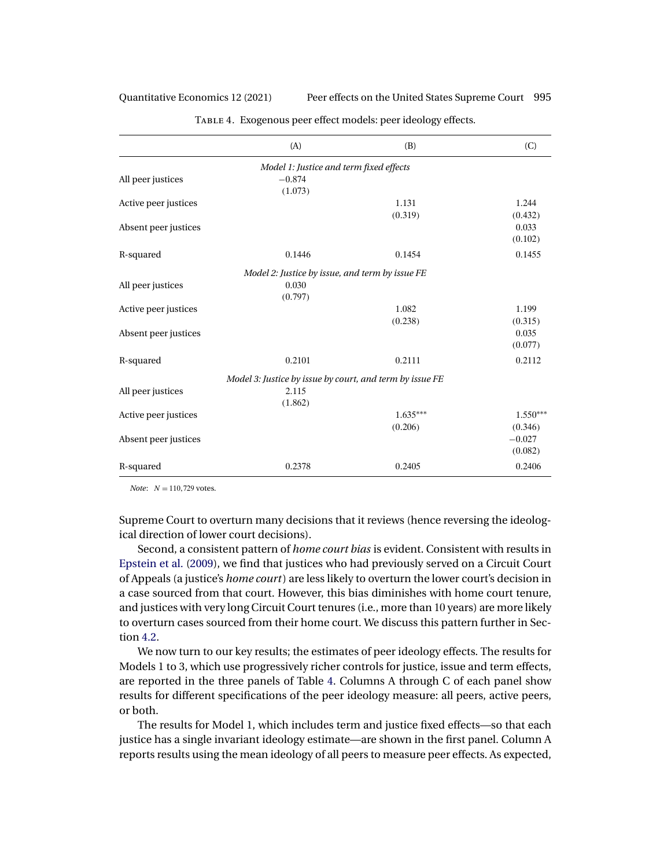<span id="page-14-0"></span>Quantitative Economics 12 (2021) Peer effects on the United States Supreme Court 995

|                      | (A)                                                      | (B)        | (C)        |
|----------------------|----------------------------------------------------------|------------|------------|
|                      | Model 1: Justice and term fixed effects                  |            |            |
| All peer justices    | $-0.874$                                                 |            |            |
|                      | (1.073)                                                  |            |            |
| Active peer justices |                                                          | 1.131      | 1.244      |
|                      |                                                          | (0.319)    | (0.432)    |
| Absent peer justices |                                                          |            | 0.033      |
|                      |                                                          |            | (0.102)    |
| R-squared            | 0.1446                                                   | 0.1454     | 0.1455     |
|                      | Model 2: Justice by issue, and term by issue FE          |            |            |
| All peer justices    | 0.030                                                    |            |            |
|                      | (0.797)                                                  |            |            |
| Active peer justices |                                                          | 1.082      | 1.199      |
|                      |                                                          | (0.238)    | (0.315)    |
| Absent peer justices |                                                          |            | 0.035      |
|                      |                                                          |            | (0.077)    |
| R-squared            | 0.2101                                                   | 0.2111     | 0.2112     |
|                      | Model 3: Justice by issue by court, and term by issue FE |            |            |
| All peer justices    | 2.115                                                    |            |            |
|                      | (1.862)                                                  |            |            |
| Active peer justices |                                                          | $1.635***$ | $1.550***$ |
|                      |                                                          | (0.206)    | (0.346)    |
| Absent peer justices |                                                          |            | $-0.027$   |
|                      |                                                          |            | (0.082)    |
| R-squared            | 0.2378                                                   | 0.2405     | 0.2406     |

Table 4. Exogenous peer effect models: peer ideology effects.

*Note*:  $N = 110,729$  votes.

Supreme Court to overturn many decisions that it reviews (hence reversing the ideological direction of lower court decisions).

Second, a consistent pattern of *home court bias* is evident. Consistent with results in [Epstein et al.](#page-36-0) [\(2009\)](#page-36-0), we find that justices who had previously served on a Circuit Court of Appeals (a justice's *home court*) are less likely to overturn the lower court's decision in a case sourced from that court. However, this bias diminishes with home court tenure, and justices with very long Circuit Court tenures (i.e., more than 10 years) are more likely to overturn cases sourced from their home court. We discuss this pattern further in Section [4.2.](#page-18-0)

We now turn to our key results; the estimates of peer ideology effects. The results for Models 1 to 3, which use progressively richer controls for justice, issue and term effects, are reported in the three panels of Table 4. Columns A through C of each panel show results for different specifications of the peer ideology measure: all peers, active peers, or both.

The results for Model 1, which includes term and justice fixed effects—so that each justice has a single invariant ideology estimate—are shown in the first panel. Column A reports results using the mean ideology of all peers to measure peer effects. As expected,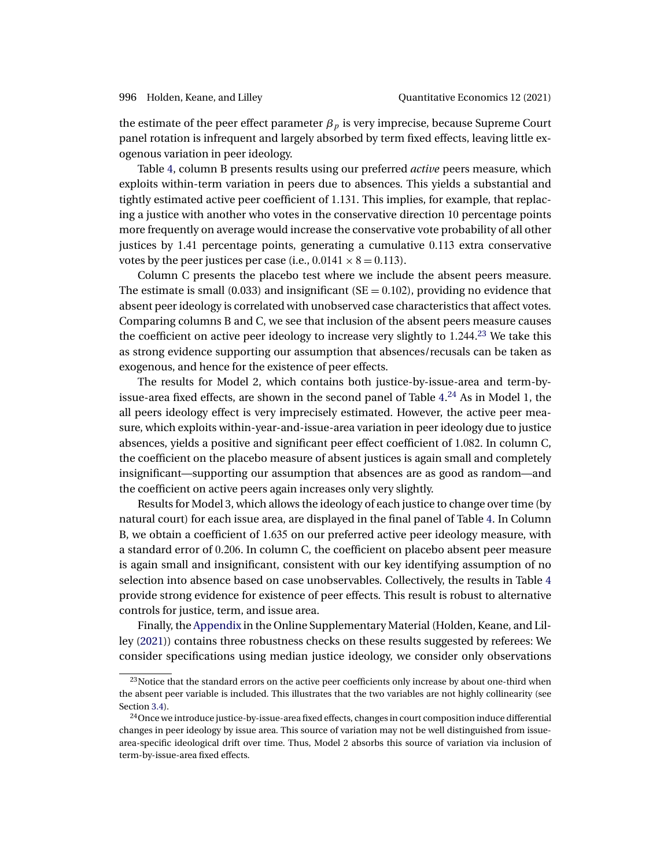<span id="page-15-0"></span>the estimate of the peer effect parameter  $\beta_p$  is very imprecise, because Supreme Court panel rotation is infrequent and largely absorbed by term fixed effects, leaving little exogenous variation in peer ideology.

Table [4,](#page-14-0) column B presents results using our preferred *active* peers measure, which exploits within-term variation in peers due to absences. This yields a substantial and tightly estimated active peer coefficient of 1-131. This implies, for example, that replacing a justice with another who votes in the conservative direction 10 percentage points more frequently on average would increase the conservative vote probability of all other justices by 1.41 percentage points, generating a cumulative 0.113 extra conservative votes by the peer justices per case (i.e.,  $0.0141 \times 8 = 0.113$ ).

Column C presents the placebo test where we include the absent peers measure. The estimate is small (0.033) and insignificant ( $SE = 0.102$ ), providing no evidence that absent peer ideology is correlated with unobserved case characteristics that affect votes. Comparing columns B and C, we see that inclusion of the absent peers measure causes the coefficient on active peer ideology to increase very slightly to  $1.244.^{23}$  We take this as strong evidence supporting our assumption that absences/recusals can be taken as exogenous, and hence for the existence of peer effects.

The results for Model 2, which contains both justice-by-issue-area and term-by-issue-area fixed effects, are shown in the second panel of Table [4.](#page-14-0)<sup>24</sup> As in Model 1, the all peers ideology effect is very imprecisely estimated. However, the active peer measure, which exploits within-year-and-issue-area variation in peer ideology due to justice absences, yields a positive and significant peer effect coefficient of 1-082. In column C, the coefficient on the placebo measure of absent justices is again small and completely insignificant—supporting our assumption that absences are as good as random—and the coefficient on active peers again increases only very slightly.

Results for Model 3, which allows the ideology of each justice to change over time (by natural court) for each issue area, are displayed in the final panel of Table [4.](#page-14-0) In Column B, we obtain a coefficient of 1-635 on our preferred active peer ideology measure, with a standard error of 0-206. In column C, the coefficient on placebo absent peer measure is again small and insignificant, consistent with our key identifying assumption of no selection into absence based on case unobservables. Collectively, the results in Table [4](#page-14-0) provide strong evidence for existence of peer effects. This result is robust to alternative controls for justice, term, and issue area.

Finally, the [Appendix](#page-28-0) in the Online Supplementary Material (Holden, Keane, and Lilley [\(2021\)](#page-37-0)) contains three robustness checks on these results suggested by referees: We consider specifications using median justice ideology, we consider only observations

<sup>&</sup>lt;sup>23</sup>Notice that the standard errors on the active peer coefficients only increase by about one-third when the absent peer variable is included. This illustrates that the two variables are not highly collinearity (see Section [3.4\)](#page-11-0).

<sup>&</sup>lt;sup>24</sup>Once we introduce justice-by-issue-area fixed effects, changes in court composition induce differential changes in peer ideology by issue area. This source of variation may not be well distinguished from issuearea-specific ideological drift over time. Thus, Model 2 absorbs this source of variation via inclusion of term-by-issue-area fixed effects.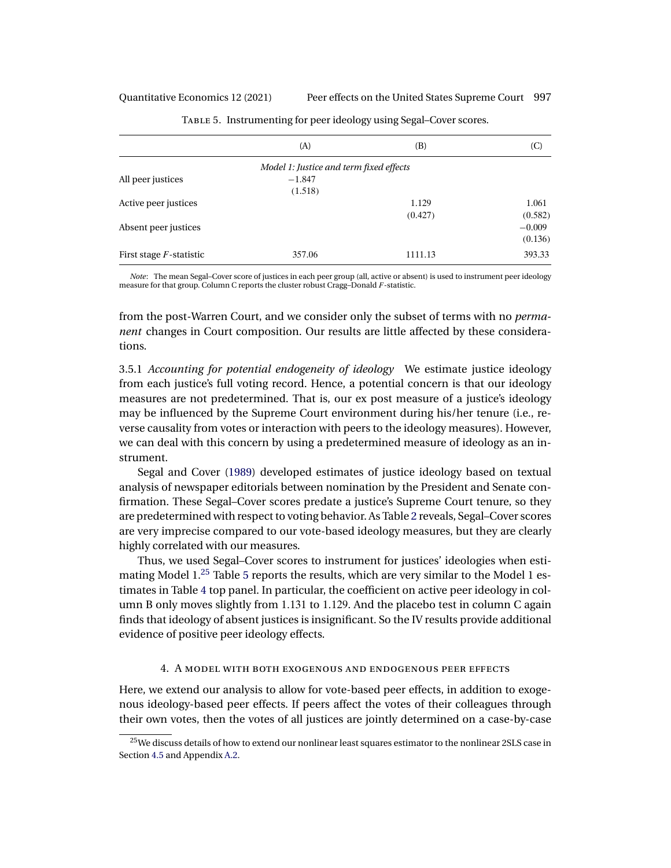<span id="page-16-0"></span>Quantitative Economics 12 (2021) Peer effects on the United States Supreme Court 997

|                            | (A)                                     | (B)     | (C)      |
|----------------------------|-----------------------------------------|---------|----------|
|                            | Model 1: Justice and term fixed effects |         |          |
| All peer justices          | $-1.847$                                |         |          |
|                            | (1.518)                                 |         |          |
| Active peer justices       |                                         | 1.129   | 1.061    |
|                            |                                         | (0.427) | (0.582)  |
| Absent peer justices       |                                         |         | $-0.009$ |
|                            |                                         |         | (0.136)  |
| First stage $F$ -statistic | 357.06                                  | 1111.13 | 393.33   |

Table 5. Instrumenting for peer ideology using Segal–Cover scores.

*Note*: The mean Segal–Cover score of justices in each peer group (all, active or absent) is used to instrument peer ideology measure for that group. Column C reports the cluster robust Cragg–Donald F-statistic.

from the post-Warren Court, and we consider only the subset of terms with no *permanent* changes in Court composition. Our results are little affected by these considerations.

3.5.1 *Accounting for potential endogeneity of ideology* We estimate justice ideology from each justice's full voting record. Hence, a potential concern is that our ideology measures are not predetermined. That is, our ex post measure of a justice's ideology may be influenced by the Supreme Court environment during his/her tenure (i.e., reverse causality from votes or interaction with peers to the ideology measures). However, we can deal with this concern by using a predetermined measure of ideology as an instrument.

Segal and Cover [\(1989\)](#page-37-0) developed estimates of justice ideology based on textual analysis of newspaper editorials between nomination by the President and Senate confirmation. These Segal–Cover scores predate a justice's Supreme Court tenure, so they are predetermined with respect to voting behavior. As Table [2](#page-7-0) reveals, Segal–Cover scores are very imprecise compared to our vote-based ideology measures, but they are clearly highly correlated with our measures.

Thus, we used Segal–Cover scores to instrument for justices' ideologies when estimating Model  $1<sup>25</sup>$  Table 5 reports the results, which are very similar to the Model 1 estimates in Table [4](#page-14-0) top panel. In particular, the coefficient on active peer ideology in column B only moves slightly from 1.131 to 1.129. And the placebo test in column C again finds that ideology of absent justices is insignificant. So the IV results provide additional evidence of positive peer ideology effects.

# 4. A model with both exogenous and endogenous peer effects

Here, we extend our analysis to allow for vote-based peer effects, in addition to exogenous ideology-based peer effects. If peers affect the votes of their colleagues through their own votes, then the votes of all justices are jointly determined on a case-by-case

 $^{25}$ We discuss details of how to extend our nonlinear least squares estimator to the nonlinear 2SLS case in Section [4.5](#page-21-0) and Appendix [A.2.](#page-33-0)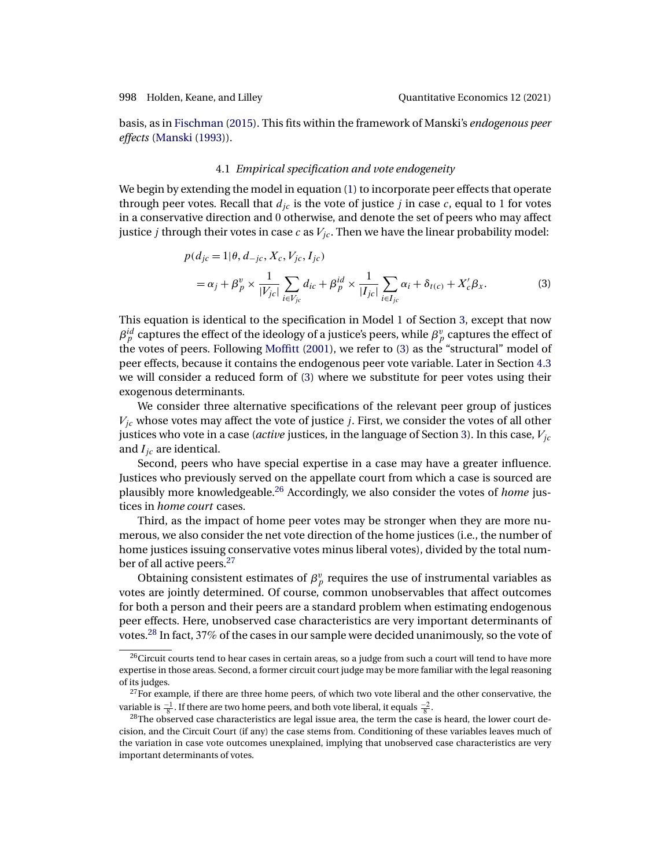<span id="page-17-0"></span>basis, as in [Fischman](#page-37-0) [\(2015\)](#page-37-0). This fits within the framework of Manski's *endogenous peer effects* [\(Manski](#page-37-0) [\(1993\)](#page-37-0)).

## 4.1 *Empirical specification and vote endogeneity*

We begin by extending the model in equation [\(1\)](#page-7-0) to incorporate peer effects that operate through peer votes. Recall that  $d_{ic}$  is the vote of justice j in case c, equal to 1 for votes in a conservative direction and 0 otherwise, and denote the set of peers who may affect justice *j* through their votes in case  $c$  as  $V_{jc}$ . Then we have the linear probability model:

$$
p(d_{jc} = 1 | \theta, d_{-jc}, X_c, V_{jc}, I_{jc})
$$
  
=  $\alpha_j + \beta_p^v \times \frac{1}{|V_{jc}|} \sum_{i \in V_{jc}} d_{ic} + \beta_p^{id} \times \frac{1}{|I_{jc}|} \sum_{i \in I_{jc}} \alpha_i + \delta_{t(c)} + X_c' \beta_x.$  (3)

This equation is identical to the specification in Model 1 of Section [3,](#page-6-0) except that now  $\beta_p^{id}$  captures the effect of the ideology of a justice's peers, while  $\beta_p^v$  captures the effect of the votes of peers. Following [Moffitt](#page-37-0) [\(2001\)](#page-37-0), we refer to (3) as the "structural" model of peer effects, because it contains the endogenous peer vote variable. Later in Section [4.3](#page-19-0) we will consider a reduced form of (3) where we substitute for peer votes using their exogenous determinants.

We consider three alternative specifications of the relevant peer group of justices  $V_{ic}$  whose votes may affect the vote of justice *j*. First, we consider the votes of all other justices who vote in a case (*active* justices, in the language of Section [3\)](#page-6-0). In this case,  $V_{jc}$ and  $I_{ic}$  are identical.

Second, peers who have special expertise in a case may have a greater influence. Justices who previously served on the appellate court from which a case is sourced are plausibly more knowledgeable.26 Accordingly, we also consider the votes of *home* justices in *home court* cases.

Third, as the impact of home peer votes may be stronger when they are more numerous, we also consider the net vote direction of the home justices (i.e., the number of home justices issuing conservative votes minus liberal votes), divided by the total number of all active peers.<sup>27</sup>

Obtaining consistent estimates of  $\beta_p^v$  requires the use of instrumental variables as votes are jointly determined. Of course, common unobservables that affect outcomes for both a person and their peers are a standard problem when estimating endogenous peer effects. Here, unobserved case characteristics are very important determinants of votes.<sup>28</sup> In fact, 37% of the cases in our sample were decided unanimously, so the vote of

 $^{26}$ Circuit courts tend to hear cases in certain areas, so a judge from such a court will tend to have more expertise in those areas. Second, a former circuit court judge may be more familiar with the legal reasoning of its judges.

 $27$  For example, if there are three home peers, of which two vote liberal and the other conservative, the variable is  $\frac{-1}{8}$ . If there are two home peers, and both vote liberal, it equals  $\frac{-2}{8}$ 

 $^{28}$ The observed case characteristics are legal issue area, the term the case is heard, the lower court decision, and the Circuit Court (if any) the case stems from. Conditioning of these variables leaves much of the variation in case vote outcomes unexplained, implying that unobserved case characteristics are very important determinants of votes.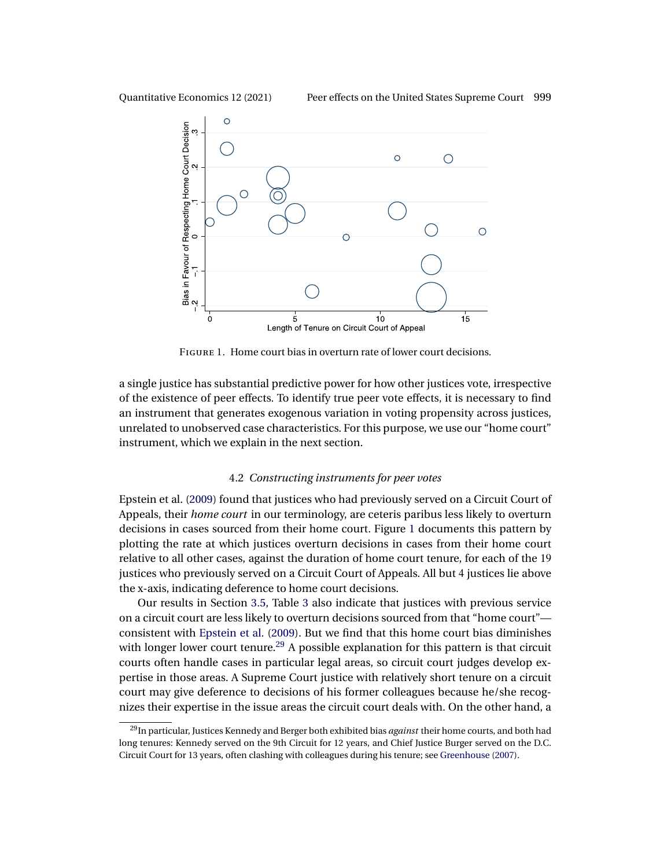<span id="page-18-0"></span>



Figure 1. Home court bias in overturn rate of lower court decisions.

a single justice has substantial predictive power for how other justices vote, irrespective of the existence of peer effects. To identify true peer vote effects, it is necessary to find an instrument that generates exogenous variation in voting propensity across justices, unrelated to unobserved case characteristics. For this purpose, we use our "home court" instrument, which we explain in the next section.

## 4.2 *Constructing instruments for peer votes*

Epstein et al. [\(2009\)](#page-36-0) found that justices who had previously served on a Circuit Court of Appeals, their *home court* in our terminology, are ceteris paribus less likely to overturn decisions in cases sourced from their home court. Figure 1 documents this pattern by plotting the rate at which justices overturn decisions in cases from their home court relative to all other cases, against the duration of home court tenure, for each of the 19 justices who previously served on a Circuit Court of Appeals. All but 4 justices lie above the x-axis, indicating deference to home court decisions.

Our results in Section [3.5,](#page-12-0) Table [3](#page-13-0) also indicate that justices with previous service on a circuit court are less likely to overturn decisions sourced from that "home court" consistent with [Epstein et al.](#page-36-0) [\(2009\)](#page-36-0). But we find that this home court bias diminishes with longer lower court tenure.<sup>29</sup> A possible explanation for this pattern is that circuit courts often handle cases in particular legal areas, so circuit court judges develop expertise in those areas. A Supreme Court justice with relatively short tenure on a circuit court may give deference to decisions of his former colleagues because he/she recognizes their expertise in the issue areas the circuit court deals with. On the other hand, a

<sup>29</sup>In particular, Justices Kennedy and Berger both exhibited bias *against* their home courts, and both had long tenures: Kennedy served on the 9th Circuit for 12 years, and Chief Justice Burger served on the D.C. Circuit Court for 13 years, often clashing with colleagues during his tenure; see [Greenhouse](#page-37-0) [\(2007\)](#page-37-0).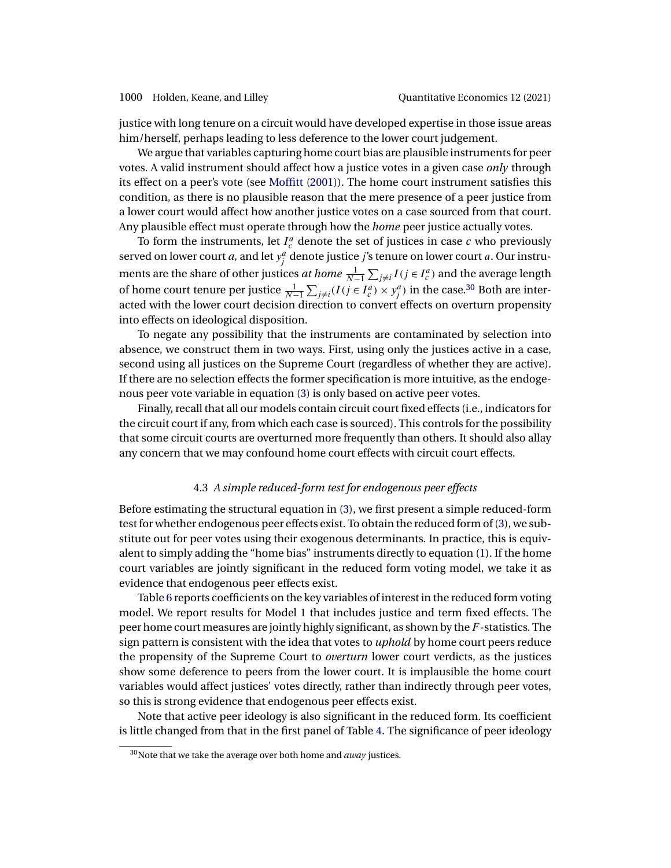<span id="page-19-0"></span>justice with long tenure on a circuit would have developed expertise in those issue areas him/herself, perhaps leading to less deference to the lower court judgement.

We argue that variables capturing home court bias are plausible instruments for peer votes. A valid instrument should affect how a justice votes in a given case *only* through its effect on a peer's vote (see [Moffitt](#page-37-0) [\(2001\)](#page-37-0)). The home court instrument satisfies this condition, as there is no plausible reason that the mere presence of a peer justice from a lower court would affect how another justice votes on a case sourced from that court. Any plausible effect must operate through how the *home* peer justice actually votes.

To form the instruments, let  $I_c^a$  denote the set of justices in case  $c$  who previously served on lower court *a*, and let  $y_j^a$  denote justice *j*'s tenure on lower court *a*. Our instruments are the share of other justices *at home*  $\frac{1}{N-1} \sum_{j \neq i} I(j \in I_c^a)$  and the average length of home court tenure per justice  $\frac{1}{N-1}\sum_{j\neq i}(I(j \in I_c^a) \times y_j^a)$  in the case.<sup>30</sup> Both are interacted with the lower court decision direction to convert effects on overturn propensity into effects on ideological disposition.

To negate any possibility that the instruments are contaminated by selection into absence, we construct them in two ways. First, using only the justices active in a case, second using all justices on the Supreme Court (regardless of whether they are active). If there are no selection effects the former specification is more intuitive, as the endogenous peer vote variable in equation [\(3\)](#page-17-0) is only based on active peer votes.

Finally, recall that all our models contain circuit court fixed effects (i.e., indicators for the circuit court if any, from which each case is sourced). This controls for the possibility that some circuit courts are overturned more frequently than others. It should also allay any concern that we may confound home court effects with circuit court effects.

### 4.3 *A simple reduced-form test for endogenous peer effects*

Before estimating the structural equation in [\(3\)](#page-17-0), we first present a simple reduced-form test for whether endogenous peer effects exist. To obtain the reduced form of [\(3\)](#page-17-0), we substitute out for peer votes using their exogenous determinants. In practice, this is equivalent to simply adding the "home bias" instruments directly to equation [\(1\)](#page-7-0). If the home court variables are jointly significant in the reduced form voting model, we take it as evidence that endogenous peer effects exist.

Table [6](#page-20-0) reports coefficients on the key variables of interest in the reduced form voting model. We report results for Model 1 that includes justice and term fixed effects. The peer home court measures are jointly highly significant, as shown by the  $F$ -statistics. The sign pattern is consistent with the idea that votes to *uphold* by home court peers reduce the propensity of the Supreme Court to *overturn* lower court verdicts, as the justices show some deference to peers from the lower court. It is implausible the home court variables would affect justices' votes directly, rather than indirectly through peer votes, so this is strong evidence that endogenous peer effects exist.

Note that active peer ideology is also significant in the reduced form. Its coefficient is little changed from that in the first panel of Table [4.](#page-14-0) The significance of peer ideology

<sup>30</sup>Note that we take the average over both home and *away* justices.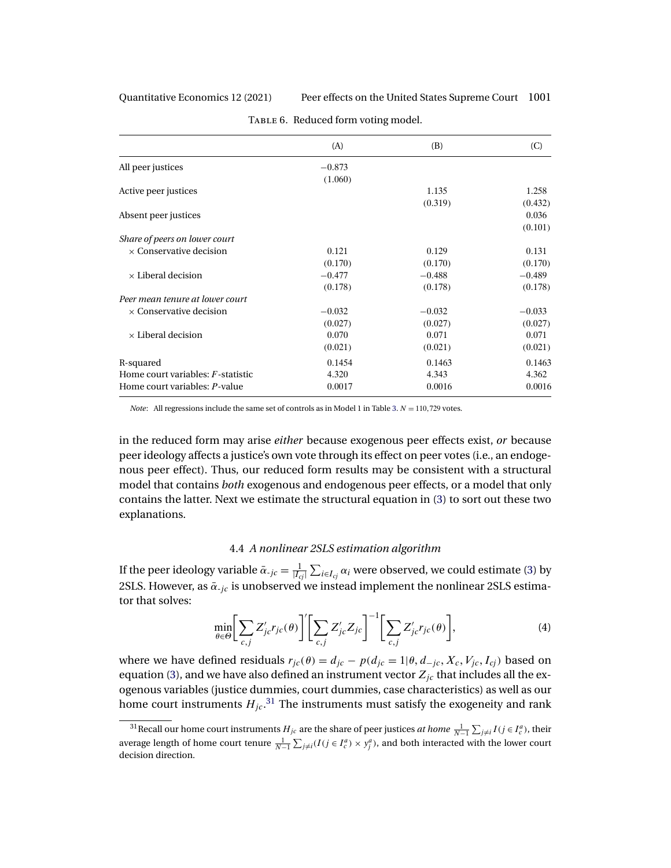### <span id="page-20-0"></span>Quantitative Economics 12 (2021) Peer effects on the United States Supreme Court 1001

|                                      | (A)      | (B)      | (C)      |
|--------------------------------------|----------|----------|----------|
| All peer justices                    | $-0.873$ |          |          |
|                                      | (1.060)  |          |          |
| Active peer justices                 |          | 1.135    | 1.258    |
|                                      |          | (0.319)  | (0.432)  |
| Absent peer justices                 |          |          | 0.036    |
|                                      |          |          | (0.101)  |
| Share of peers on lower court        |          |          |          |
| $\times$ Conservative decision       | 0.121    | 0.129    | 0.131    |
|                                      | (0.170)  | (0.170)  | (0.170)  |
| $\times$ Liberal decision            | $-0.477$ | $-0.488$ | $-0.489$ |
|                                      | (0.178)  | (0.178)  | (0.178)  |
| Peer mean tenure at lower court      |          |          |          |
| $\times$ Conservative decision       | $-0.032$ | $-0.032$ | $-0.033$ |
|                                      | (0.027)  | (0.027)  | (0.027)  |
| $\times$ Liberal decision            | 0.070    | 0.071    | 0.071    |
|                                      | (0.021)  | (0.021)  | (0.021)  |
| R-squared                            | 0.1454   | 0.1463   | 0.1463   |
| Home court variables: $F$ -statistic | 4.320    | 4.343    | 4.362    |
| Home court variables: P-value        | 0.0017   | 0.0016   | 0.0016   |

TABLE 6. Reduced form voting model.

*Note*: All regressions include the same set of controls as in Model 1 in Table [3.](#page-13-0)  $N = 110,729$  votes.

in the reduced form may arise *either* because exogenous peer effects exist, *or* because peer ideology affects a justice's own vote through its effect on peer votes (i.e., an endogenous peer effect). Thus, our reduced form results may be consistent with a structural model that contains *both* exogenous and endogenous peer effects, or a model that only contains the latter. Next we estimate the structural equation in [\(3\)](#page-17-0) to sort out these two explanations.

# 4.4 *A nonlinear 2SLS estimation algorithm*

If the peer ideology variable  $\bar{\alpha}_{-jc} = \frac{1}{|I_{cj}|} \sum_{i \in I_{cj}} \alpha_i$  were observed, we could estimate [\(3\)](#page-17-0) by 2SLS. However, as  $\bar{\alpha}_{-jc}$  is unobserved we instead implement the nonlinear 2SLS estimator that solves:

$$
\min_{\theta \in \Theta} \bigg[ \sum_{c,j} Z'_{jc} r_{jc}(\theta) \bigg]' \bigg[ \sum_{c,j} Z'_{jc} Z_{jc} \bigg]^{-1} \bigg[ \sum_{c,j} Z'_{jc} r_{jc}(\theta) \bigg],\tag{4}
$$

where we have defined residuals  $r_{jc}(\theta) = d_{jc} - p(d_{jc} = 1 | \theta, d_{-jc}, X_c, V_{jc}, I_{cj})$  based on equation [\(3\)](#page-17-0), and we have also defined an instrument vector  $Z_{ic}$  that includes all the exogenous variables (justice dummies, court dummies, case characteristics) as well as our home court instruments  $H_{jc}.^{\rm 31}$  The instruments must satisfy the exogeneity and rank

<sup>&</sup>lt;sup>31</sup> Recall our home court instruments  $H_{jc}$  are the share of peer justices *at home*  $\frac{1}{N-1} \sum_{j \neq i} I(j \in I_c^a)$ , their average length of home court tenure  $\frac{1}{N-1} \sum_{j \neq i} (I(j \in I_c^a) \times y_j^a)$ , and both interacted with the lower court decision direction.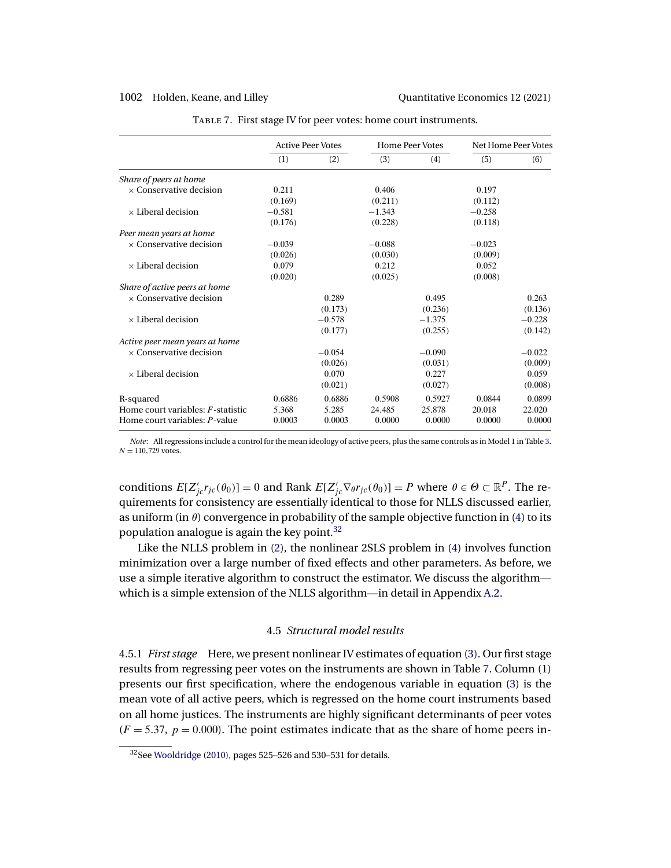<span id="page-21-0"></span>

|                                           |          | <b>Active Peer Votes</b> |          | <b>Home Peer Votes</b> | Net Home Peer Votes |          |
|-------------------------------------------|----------|--------------------------|----------|------------------------|---------------------|----------|
|                                           | (1)      | (2)                      | (3)      | (4)                    | (5)                 | (6)      |
| Share of peers at home                    |          |                          |          |                        |                     |          |
| $\times$ Conservative decision            | 0.211    |                          | 0.406    |                        | 0.197               |          |
|                                           | (0.169)  |                          | (0.211)  |                        | (0.112)             |          |
| $\times$ Liberal decision                 | $-0.581$ |                          | $-1.343$ |                        | $-0.258$            |          |
|                                           | (0.176)  |                          | (0.228)  |                        | (0.118)             |          |
| Peer mean years at home                   |          |                          |          |                        |                     |          |
| $\times$ Conservative decision            | $-0.039$ |                          | $-0.088$ |                        | $-0.023$            |          |
|                                           | (0.026)  |                          | (0.030)  |                        | (0.009)             |          |
| $\times$ Liberal decision                 | 0.079    |                          | 0.212    |                        | 0.052               |          |
|                                           | (0.020)  |                          | (0.025)  |                        | (0.008)             |          |
| Share of active peers at home             |          |                          |          |                        |                     |          |
| $\times$ Conservative decision            |          | 0.289                    |          | 0.495                  |                     | 0.263    |
|                                           |          | (0.173)                  |          | (0.236)                |                     | (0.136)  |
| $\times$ Liberal decision                 |          | $-0.578$                 |          | $-1.375$               |                     | $-0.228$ |
|                                           |          | (0.177)                  |          | (0.255)                |                     | (0.142)  |
| Active peer mean years at home            |          |                          |          |                        |                     |          |
| $\times$ Conservative decision            |          | $-0.054$                 |          | $-0.090$               |                     | $-0.022$ |
|                                           |          | (0.026)                  |          | (0.031)                |                     | (0.009)  |
| $\times$ Liberal decision                 |          | 0.070                    |          | 0.227                  |                     | 0.059    |
|                                           |          | (0.021)                  |          | (0.027)                |                     | (0.008)  |
| R-squared                                 | 0.6886   | 0.6886                   | 0.5908   | 0.5927                 | 0.0844              | 0.0899   |
| Home court variables: <i>F</i> -statistic | 5.368    | 5.285                    | 24.485   | 25.878                 | 20.018              | 22.020   |
| Home court variables: P-value             | 0.0003   | 0.0003                   | 0.0000   | 0.0000                 | 0.0000              | 0.0000   |

Table 7. First stage IV for peer votes: home court instruments.

*Note*: All regressions include a control for the mean ideology of active peers, plus the same controls as in Model 1 in Table [3.](#page-13-0)  $N = 110,729$  votes.

conditions  $E[Z'_{j}r_{j}(\theta_0)] = 0$  and Rank  $E[Z'_{j} \nabla_{\theta}r_{j}(\theta_0)] = P$  where  $\theta \in \Theta \subset \mathbb{R}^P$ . The requirements for consistency are essentially identical to those for NLLS discussed earlier, as uniform (in  $\theta$ ) convergence in probability of the sample objective function in [\(4\)](#page-20-0) to its population analogue is again the key point. $32$ 

Like the NLLS problem in [\(2\)](#page-8-0), the nonlinear 2SLS problem in [\(4\)](#page-20-0) involves function minimization over a large number of fixed effects and other parameters. As before, we use a simple iterative algorithm to construct the estimator. We discuss the algorithm which is a simple extension of the NLLS algorithm—in detail in Appendix [A.2.](#page-33-0)

## 4.5 *Structural model results*

4.5.1 *First stage* Here, we present nonlinear IV estimates of equation [\(3\)](#page-17-0). Our first stage results from regressing peer votes on the instruments are shown in Table 7. Column (1) presents our first specification, where the endogenous variable in equation [\(3\)](#page-17-0) is the mean vote of all active peers, which is regressed on the home court instruments based on all home justices. The instruments are highly significant determinants of peer votes  $(F = 5.37, p = 0.000)$ . The point estimates indicate that as the share of home peers in-

<sup>32</sup>See [Wooldridge](#page-38-0) [\(2010\)](#page-38-0), pages 525–526 and 530–531 for details.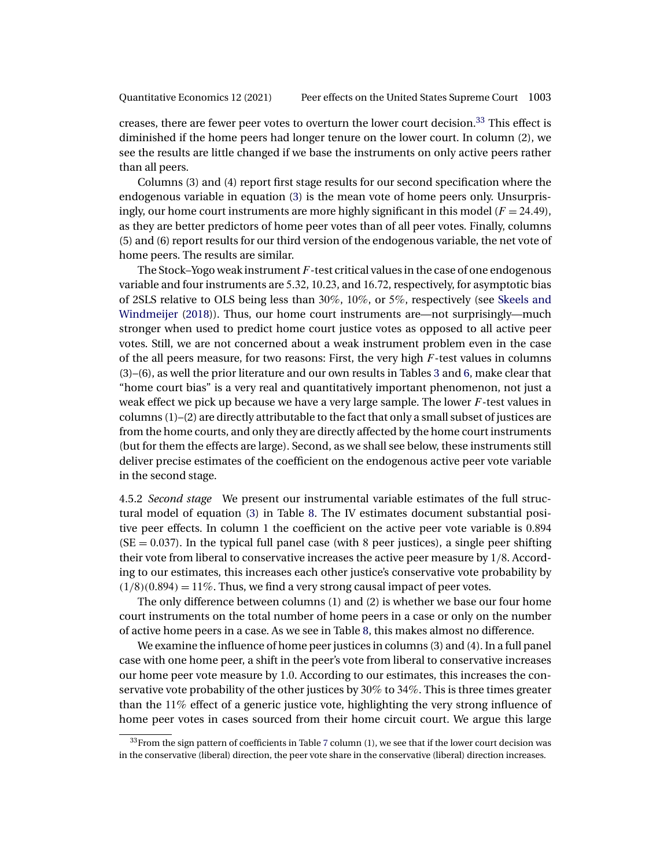<span id="page-22-0"></span>creases, there are fewer peer votes to overturn the lower court decision.<sup>33</sup> This effect is diminished if the home peers had longer tenure on the lower court. In column (2), we see the results are little changed if we base the instruments on only active peers rather than all peers.

Columns (3) and (4) report first stage results for our second specification where the endogenous variable in equation [\(3\)](#page-17-0) is the mean vote of home peers only. Unsurprisingly, our home court instruments are more highly significant in this model ( $F = 24.49$ ), as they are better predictors of home peer votes than of all peer votes. Finally, columns (5) and (6) report results for our third version of the endogenous variable, the net vote of home peers. The results are similar.

The Stock–Yogo weak instrument  $F$ -test critical values in the case of one endogenous variable and four instruments are 5-32, 10-23, and 16-72, respectively, for asymptotic bias of 2SLS relative to OLS being less than 30%, 10%, or 5%, respectively (see [Skeels and](#page-37-0) [Windmeijer](#page-37-0) [\(2018\)](#page-37-0)). Thus, our home court instruments are—not surprisingly—much stronger when used to predict home court justice votes as opposed to all active peer votes. Still, we are not concerned about a weak instrument problem even in the case of the all peers measure, for two reasons: First, the very high F-test values in columns (3)–(6), as well the prior literature and our own results in Tables [3](#page-13-0) and [6,](#page-20-0) make clear that "home court bias" is a very real and quantitatively important phenomenon, not just a weak effect we pick up because we have a very large sample. The lower  $F$ -test values in columns (1)–(2) are directly attributable to the fact that only a small subset of justices are from the home courts, and only they are directly affected by the home court instruments (but for them the effects are large). Second, as we shall see below, these instruments still deliver precise estimates of the coefficient on the endogenous active peer vote variable in the second stage.

4.5.2 *Second stage* We present our instrumental variable estimates of the full structural model of equation [\(3\)](#page-17-0) in Table [8.](#page-23-0) The IV estimates document substantial positive peer effects. In column 1 the coefficient on the active peer vote variable is 0-894  $(SE = 0.037)$ . In the typical full panel case (with 8 peer justices), a single peer shifting their vote from liberal to conservative increases the active peer measure by 1/8. According to our estimates, this increases each other justice's conservative vote probability by  $(1/8)(0.894) = 11\%$ . Thus, we find a very strong causal impact of peer votes.

The only difference between columns (1) and (2) is whether we base our four home court instruments on the total number of home peers in a case or only on the number of active home peers in a case. As we see in Table [8,](#page-23-0) this makes almost no difference.

We examine the influence of home peer justices in columns (3) and (4). In a full panel case with one home peer, a shift in the peer's vote from liberal to conservative increases our home peer vote measure by 1-0. According to our estimates, this increases the conservative vote probability of the other justices by 30% to 34%. This is three times greater than the 11% effect of a generic justice vote, highlighting the very strong influence of home peer votes in cases sourced from their home circuit court. We argue this large

 $33$ From the sign pattern of coefficients in Table [7](#page-21-0) column (1), we see that if the lower court decision was in the conservative (liberal) direction, the peer vote share in the conservative (liberal) direction increases.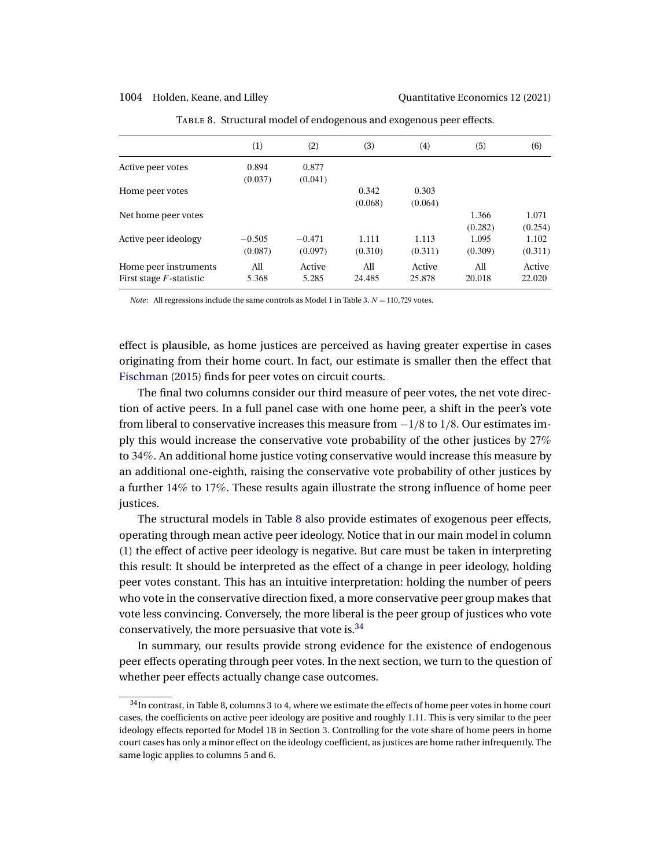<span id="page-23-0"></span>1004 Holden, Keane, and Lilley Quantitative Economics 12 (2021)

|                            | (1)      | (2)      | (3)     | (4)     | (5)     | (6)     |
|----------------------------|----------|----------|---------|---------|---------|---------|
| Active peer votes          | 0.894    | 0.877    |         |         |         |         |
|                            | (0.037)  | (0.041)  |         |         |         |         |
| Home peer votes            |          |          | 0.342   | 0.303   |         |         |
|                            |          |          | (0.068) | (0.064) |         |         |
| Net home peer votes        |          |          |         |         | 1.366   | 1.071   |
|                            |          |          |         |         | (0.282) | (0.254) |
| Active peer ideology       | $-0.505$ | $-0.471$ | 1.111   | 1.113   | 1.095   | 1.102   |
|                            | (0.087)  | (0.097)  | (0.310) | (0.311) | (0.309) | (0.311) |
| Home peer instruments      | All      | Active   | All     | Active  | All     | Active  |
| First stage $F$ -statistic | 5.368    | 5.285    | 24.485  | 25.878  | 20.018  | 22.020  |

Table 8. Structural model of endogenous and exogenous peer effects.

*Note*: All regressions include the same controls as Model 1 in Table [3.](#page-13-0)  $N = 110,729$  votes.

effect is plausible, as home justices are perceived as having greater expertise in cases originating from their home court. In fact, our estimate is smaller then the effect that [Fischman](#page-37-0) [\(2015\)](#page-37-0) finds for peer votes on circuit courts.

The final two columns consider our third measure of peer votes, the net vote direction of active peers. In a full panel case with one home peer, a shift in the peer's vote from liberal to conservative increases this measure from  $-1/8$  to 1/8. Our estimates imply this would increase the conservative vote probability of the other justices by 27% to 34%. An additional home justice voting conservative would increase this measure by an additional one-eighth, raising the conservative vote probability of other justices by a further 14% to 17%. These results again illustrate the strong influence of home peer justices.

The structural models in Table 8 also provide estimates of exogenous peer effects, operating through mean active peer ideology. Notice that in our main model in column (1) the effect of active peer ideology is negative. But care must be taken in interpreting this result: It should be interpreted as the effect of a change in peer ideology, holding peer votes constant. This has an intuitive interpretation: holding the number of peers who vote in the conservative direction fixed, a more conservative peer group makes that vote less convincing. Conversely, the more liberal is the peer group of justices who vote conservatively, the more persuasive that vote is.<sup>34</sup>

In summary, our results provide strong evidence for the existence of endogenous peer effects operating through peer votes. In the next section, we turn to the question of whether peer effects actually change case outcomes.

 $^{34}{\rm In}$  contrast, in Table 8, columns 3 to 4, where we estimate the effects of home peer votes in home court cases, the coefficients on active peer ideology are positive and roughly 1-11. This is very similar to the peer ideology effects reported for Model 1B in Section [3.](#page-6-0) Controlling for the vote share of home peers in home court cases has only a minor effect on the ideology coefficient, as justices are home rather infrequently. The same logic applies to columns 5 and 6.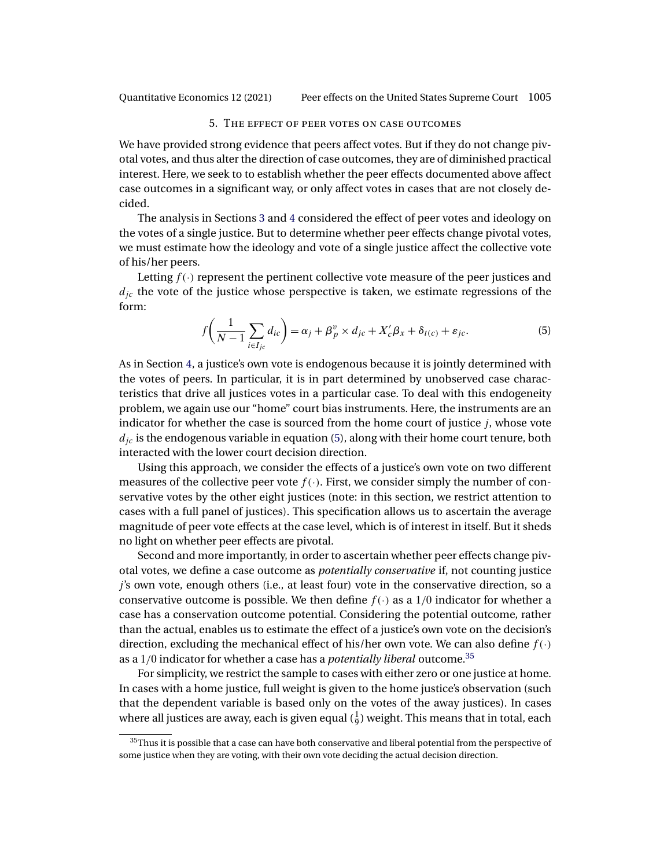<span id="page-24-0"></span>Quantitative Economics 12 (2021) Peer effects on the United States Supreme Court 1005

### 5. The effect of peer votes on case outcomes

We have provided strong evidence that peers affect votes. But if they do not change pivotal votes, and thus alter the direction of case outcomes, they are of diminished practical interest. Here, we seek to to establish whether the peer effects documented above affect case outcomes in a significant way, or only affect votes in cases that are not closely decided.

The analysis in Sections [3](#page-6-0) and [4](#page-16-0) considered the effect of peer votes and ideology on the votes of a single justice. But to determine whether peer effects change pivotal votes, we must estimate how the ideology and vote of a single justice affect the collective vote of his/her peers.

Letting  $f(\cdot)$  represent the pertinent collective vote measure of the peer justices and  $d_{ic}$  the vote of the justice whose perspective is taken, we estimate regressions of the form:

$$
f\left(\frac{1}{N-1}\sum_{i\in I_{jc}}d_{ic}\right) = \alpha_j + \beta_p^v \times d_{jc} + X_c'\beta_x + \delta_{t(c)} + \varepsilon_{jc}.
$$
 (5)

As in Section [4,](#page-16-0) a justice's own vote is endogenous because it is jointly determined with the votes of peers. In particular, it is in part determined by unobserved case characteristics that drive all justices votes in a particular case. To deal with this endogeneity problem, we again use our "home" court bias instruments. Here, the instruments are an indicator for whether the case is sourced from the home court of justice j, whose vote  $d_{ic}$  is the endogenous variable in equation (5), along with their home court tenure, both interacted with the lower court decision direction.

Using this approach, we consider the effects of a justice's own vote on two different measures of the collective peer vote  $f(\cdot)$ . First, we consider simply the number of conservative votes by the other eight justices (note: in this section, we restrict attention to cases with a full panel of justices). This specification allows us to ascertain the average magnitude of peer vote effects at the case level, which is of interest in itself. But it sheds no light on whether peer effects are pivotal.

Second and more importantly, in order to ascertain whether peer effects change pivotal votes, we define a case outcome as *potentially conservative* if, not counting justice j's own vote, enough others (i.e., at least four) vote in the conservative direction, so a conservative outcome is possible. We then define  $f(\cdot)$  as a 1/0 indicator for whether a case has a conservation outcome potential. Considering the potential outcome, rather than the actual, enables us to estimate the effect of a justice's own vote on the decision's direction, excluding the mechanical effect of his/her own vote. We can also define  $f(\cdot)$ as a 1/0 indicator for whether a case has a *potentially liberal* outcome.35

For simplicity, we restrict the sample to cases with either zero or one justice at home. In cases with a home justice, full weight is given to the home justice's observation (such that the dependent variable is based only on the votes of the away justices). In cases where all justices are away, each is given equal  $(\frac{1}{9})$  weight. This means that in total, each

 $35$ Thus it is possible that a case can have both conservative and liberal potential from the perspective of some justice when they are voting, with their own vote deciding the actual decision direction.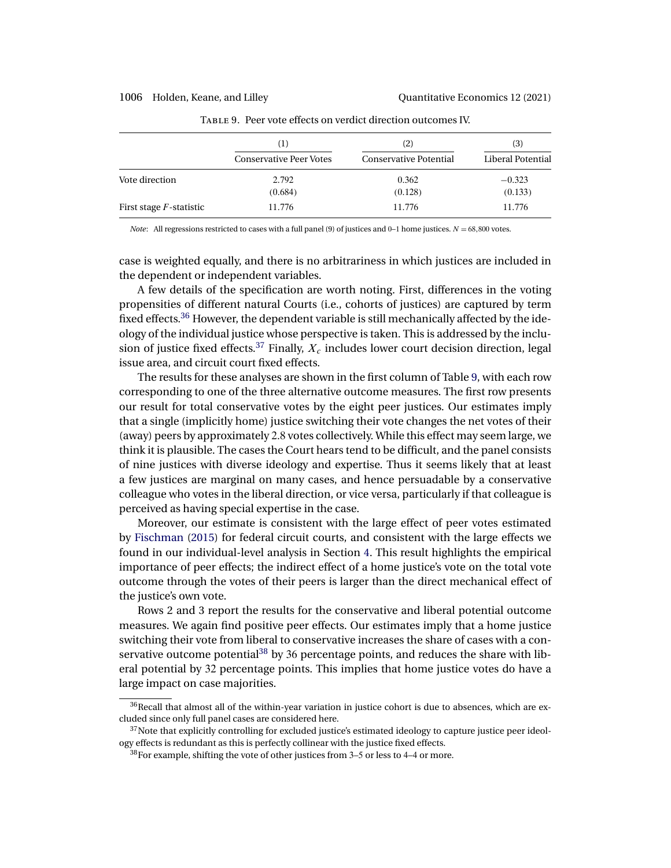### <span id="page-25-0"></span>1006 Holden, Keane, and Lilley Quantitative Economics 12 (2021)

|                            | (1)<br><b>Conservative Peer Votes</b> | (2)<br><b>Conservative Potential</b> | (3)<br>Liberal Potential |
|----------------------------|---------------------------------------|--------------------------------------|--------------------------|
| Vote direction             | 2.792                                 | 0.362                                | $-0.323$                 |
|                            | (0.684)                               | (0.128)                              | (0.133)                  |
| First stage $F$ -statistic | 11.776                                | 11.776                               | 11.776                   |

Table 9. Peer vote effects on verdict direction outcomes IV.

*Note*: All regressions restricted to cases with a full panel (9) of justices and 0–1 home justices.  $N = 68,800$  votes.

case is weighted equally, and there is no arbitrariness in which justices are included in the dependent or independent variables.

A few details of the specification are worth noting. First, differences in the voting propensities of different natural Courts (i.e., cohorts of justices) are captured by term fixed effects.<sup>36</sup> However, the dependent variable is still mechanically affected by the ideology of the individual justice whose perspective is taken. This is addressed by the inclusion of justice fixed effects.<sup>37</sup> Finally,  $X_c$  includes lower court decision direction, legal issue area, and circuit court fixed effects.

The results for these analyses are shown in the first column of Table 9, with each row corresponding to one of the three alternative outcome measures. The first row presents our result for total conservative votes by the eight peer justices. Our estimates imply that a single (implicitly home) justice switching their vote changes the net votes of their (away) peers by approximately 2-8 votes collectively. While this effect may seem large, we think it is plausible. The cases the Court hears tend to be difficult, and the panel consists of nine justices with diverse ideology and expertise. Thus it seems likely that at least a few justices are marginal on many cases, and hence persuadable by a conservative colleague who votes in the liberal direction, or vice versa, particularly if that colleague is perceived as having special expertise in the case.

Moreover, our estimate is consistent with the large effect of peer votes estimated by [Fischman](#page-37-0) [\(2015\)](#page-37-0) for federal circuit courts, and consistent with the large effects we found in our individual-level analysis in Section [4.](#page-16-0) This result highlights the empirical importance of peer effects; the indirect effect of a home justice's vote on the total vote outcome through the votes of their peers is larger than the direct mechanical effect of the justice's own vote.

Rows 2 and 3 report the results for the conservative and liberal potential outcome measures. We again find positive peer effects. Our estimates imply that a home justice switching their vote from liberal to conservative increases the share of cases with a conservative outcome potential $38$  by 36 percentage points, and reduces the share with liberal potential by 32 percentage points. This implies that home justice votes do have a large impact on case majorities.

 $36$ Recall that almost all of the within-year variation in justice cohort is due to absences, which are excluded since only full panel cases are considered here.

<sup>&</sup>lt;sup>37</sup>Note that explicitly controlling for excluded justice's estimated ideology to capture justice peer ideology effects is redundant as this is perfectly collinear with the justice fixed effects.

 $38$  For example, shifting the vote of other justices from 3–5 or less to 4–4 or more.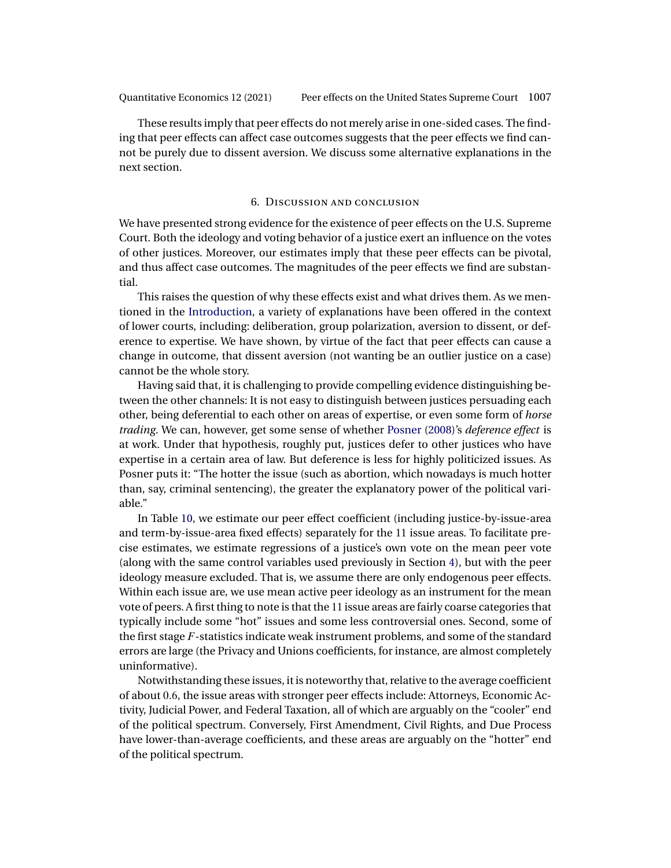<span id="page-26-0"></span>These results imply that peer effects do not merely arise in one-sided cases. The finding that peer effects can affect case outcomes suggests that the peer effects we find cannot be purely due to dissent aversion. We discuss some alternative explanations in the next section.

### 6. Discussion and conclusion

We have presented strong evidence for the existence of peer effects on the U.S. Supreme Court. Both the ideology and voting behavior of a justice exert an influence on the votes of other justices. Moreover, our estimates imply that these peer effects can be pivotal, and thus affect case outcomes. The magnitudes of the peer effects we find are substantial.

This raises the question of why these effects exist and what drives them. As we mentioned in the [Introduction,](#page-0-0) a variety of explanations have been offered in the context of lower courts, including: deliberation, group polarization, aversion to dissent, or deference to expertise. We have shown, by virtue of the fact that peer effects can cause a change in outcome, that dissent aversion (not wanting be an outlier justice on a case) cannot be the whole story.

Having said that, it is challenging to provide compelling evidence distinguishing between the other channels: It is not easy to distinguish between justices persuading each other, being deferential to each other on areas of expertise, or even some form of *horse trading*. We can, however, get some sense of whether [Posner](#page-37-0) [\(2008\)](#page-37-0)'s *deference effect* is at work. Under that hypothesis, roughly put, justices defer to other justices who have expertise in a certain area of law. But deference is less for highly politicized issues. As Posner puts it: "The hotter the issue (such as abortion, which nowadays is much hotter than, say, criminal sentencing), the greater the explanatory power of the political variable."

In Table [10,](#page-27-0) we estimate our peer effect coefficient (including justice-by-issue-area and term-by-issue-area fixed effects) separately for the 11 issue areas. To facilitate precise estimates, we estimate regressions of a justice's own vote on the mean peer vote (along with the same control variables used previously in Section [4\)](#page-16-0), but with the peer ideology measure excluded. That is, we assume there are only endogenous peer effects. Within each issue are, we use mean active peer ideology as an instrument for the mean vote of peers. A first thing to note is that the 11 issue areas are fairly coarse categories that typically include some "hot" issues and some less controversial ones. Second, some of the first stage  $F$ -statistics indicate weak instrument problems, and some of the standard errors are large (the Privacy and Unions coefficients, for instance, are almost completely uninformative).

Notwithstanding these issues, it is noteworthy that, relative to the average coefficient of about 0-6, the issue areas with stronger peer effects include: Attorneys, Economic Activity, Judicial Power, and Federal Taxation, all of which are arguably on the "cooler" end of the political spectrum. Conversely, First Amendment, Civil Rights, and Due Process have lower-than-average coefficients, and these areas are arguably on the "hotter" end of the political spectrum.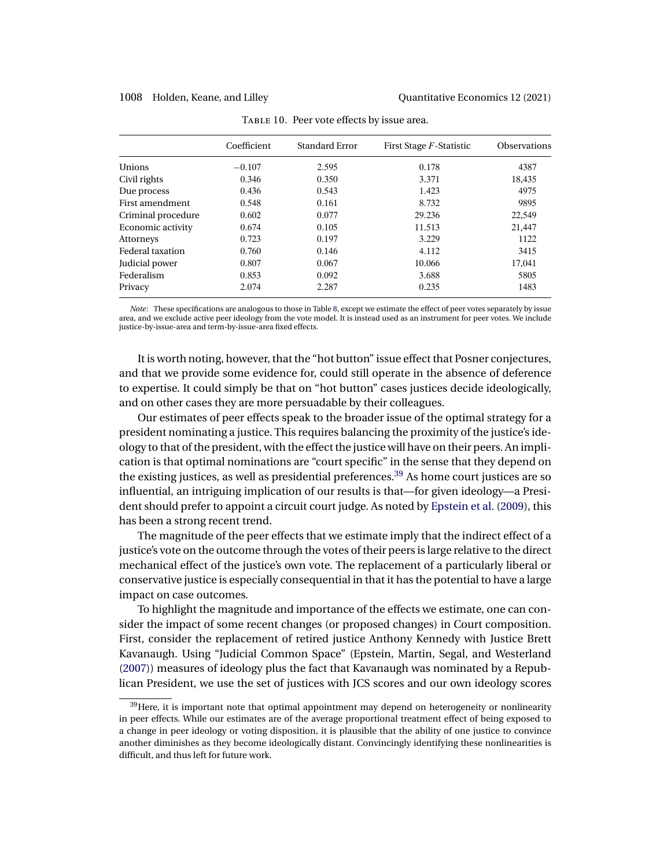<span id="page-27-0"></span>

|                         | Coefficient | Standard Error | First Stage F-Statistic | <b>Observations</b> |
|-------------------------|-------------|----------------|-------------------------|---------------------|
| Unions                  | $-0.107$    | 2.595          | 0.178                   | 4387                |
| Civil rights            | 0.346       | 0.350          | 3.371                   | 18,435              |
| Due process             | 0.436       | 0.543          | 1.423                   | 4975                |
| First amendment         | 0.548       | 0.161          | 8.732                   | 9895                |
| Criminal procedure      | 0.602       | 0.077          | 29.236                  | 22,549              |
| Economic activity       | 0.674       | 0.105          | 11.513                  | 21,447              |
| Attorneys               | 0.723       | 0.197          | 3.229                   | 1122                |
| <b>Federal taxation</b> | 0.760       | 0.146          | 4.112                   | 3415                |
| Judicial power          | 0.807       | 0.067          | 10.066                  | 17,041              |
| Federalism              | 0.853       | 0.092          | 3.688                   | 5805                |
| Privacy                 | 2.074       | 2.287          | 0.235                   | 1483                |

| TABLE 10. Peer vote effects by issue area. |  |  |  |
|--------------------------------------------|--|--|--|
|                                            |  |  |  |

*Note*: These specifications are analogous to those in Table [8,](#page-23-0) except we estimate the effect of peer votes separately by issue area, and we exclude active peer ideology from the vote model. It is instead used as an instrument for peer votes. We include justice-by-issue-area and term-by-issue-area fixed effects.

It is worth noting, however, that the "hot button" issue effect that Posner conjectures, and that we provide some evidence for, could still operate in the absence of deference to expertise. It could simply be that on "hot button" cases justices decide ideologically, and on other cases they are more persuadable by their colleagues.

Our estimates of peer effects speak to the broader issue of the optimal strategy for a president nominating a justice. This requires balancing the proximity of the justice's ideology to that of the president, with the effect the justice will have on their peers. An implication is that optimal nominations are "court specific" in the sense that they depend on the existing justices, as well as presidential preferences.<sup>39</sup> As home court justices are so influential, an intriguing implication of our results is that—for given ideology—a President should prefer to appoint a circuit court judge. As noted by [Epstein et al.](#page-36-0) [\(2009\)](#page-36-0), this has been a strong recent trend.

The magnitude of the peer effects that we estimate imply that the indirect effect of a justice's vote on the outcome through the votes of their peers is large relative to the direct mechanical effect of the justice's own vote. The replacement of a particularly liberal or conservative justice is especially consequential in that it has the potential to have a large impact on case outcomes.

To highlight the magnitude and importance of the effects we estimate, one can consider the impact of some recent changes (or proposed changes) in Court composition. First, consider the replacement of retired justice Anthony Kennedy with Justice Brett Kavanaugh. Using "Judicial Common Space" (Epstein, Martin, Segal, and Westerland [\(2007\)](#page-36-0)) measures of ideology plus the fact that Kavanaugh was nominated by a Republican President, we use the set of justices with JCS scores and our own ideology scores

 $39$  Here, it is important note that optimal appointment may depend on heterogeneity or nonlinearity in peer effects. While our estimates are of the average proportional treatment effect of being exposed to a change in peer ideology or voting disposition, it is plausible that the ability of one justice to convince another diminishes as they become ideologically distant. Convincingly identifying these nonlinearities is difficult, and thus left for future work.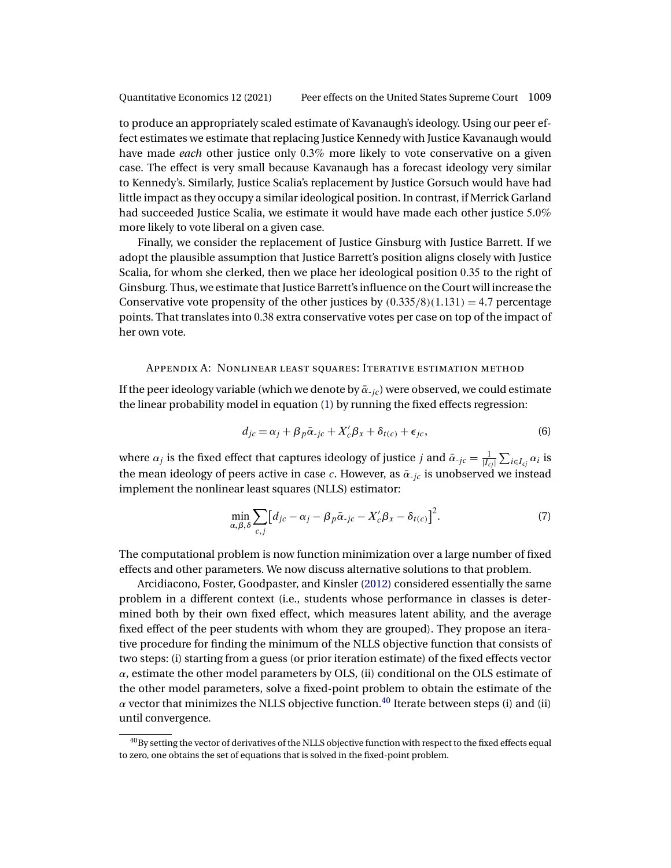<span id="page-28-0"></span>to produce an appropriately scaled estimate of Kavanaugh's ideology. Using our peer effect estimates we estimate that replacing Justice Kennedy with Justice Kavanaugh would have made *each* other justice only 0-3% more likely to vote conservative on a given case. The effect is very small because Kavanaugh has a forecast ideology very similar to Kennedy's. Similarly, Justice Scalia's replacement by Justice Gorsuch would have had little impact as they occupy a similar ideological position. In contrast, if Merrick Garland had succeeded Justice Scalia, we estimate it would have made each other justice 5.0% more likely to vote liberal on a given case.

Finally, we consider the replacement of Justice Ginsburg with Justice Barrett. If we adopt the plausible assumption that Justice Barrett's position aligns closely with Justice Scalia, for whom she clerked, then we place her ideological position 0.35 to the right of Ginsburg. Thus, we estimate that Justice Barrett's influence on the Court will increase the Conservative vote propensity of the other justices by  $(0.335/8)(1.131) = 4.7$  percentage points. That translates into 0-38 extra conservative votes per case on top of the impact of her own vote.

## Appendix A: Nonlinear least squares: Iterative estimation method

If the peer ideology variable (which we denote by  $\bar{\alpha}_{-ic}$ ) were observed, we could estimate the linear probability model in equation [\(1\)](#page-7-0) by running the fixed effects regression:

$$
d_{jc} = \alpha_j + \beta_p \bar{\alpha}_{\text{-}jc} + X_c' \beta_x + \delta_{t(c)} + \epsilon_{jc},\tag{6}
$$

where  $\alpha_j$  is the fixed effect that captures ideology of justice  $j$  and  $\bar{\alpha}_{-jc} = \frac{1}{|I_{cj}|} \sum_{i \in I_{cj}} \alpha_i$  is the mean ideology of peers active in case c. However, as  $\bar{\alpha}_{-jc}$  is unobserved we instead implement the nonlinear least squares (NLLS) estimator:

$$
\min_{\alpha,\beta,\delta} \sum_{c,j} \left[ d_{jc} - \alpha_j - \beta_p \bar{\alpha}_{\cdot jc} - X_c' \beta_x - \delta_{t(c)} \right]^2.
$$
 (7)

The computational problem is now function minimization over a large number of fixed effects and other parameters. We now discuss alternative solutions to that problem.

Arcidiacono, Foster, Goodpaster, and Kinsler [\(2012\)](#page-36-0) considered essentially the same problem in a different context (i.e., students whose performance in classes is determined both by their own fixed effect, which measures latent ability, and the average fixed effect of the peer students with whom they are grouped). They propose an iterative procedure for finding the minimum of the NLLS objective function that consists of two steps: (i) starting from a guess (or prior iteration estimate) of the fixed effects vector  $\alpha$ , estimate the other model parameters by OLS, (ii) conditional on the OLS estimate of the other model parameters, solve a fixed-point problem to obtain the estimate of the  $\alpha$  vector that minimizes the NLLS objective function.<sup>40</sup> Iterate between steps (i) and (ii) until convergence.

<sup>&</sup>lt;sup>40</sup>By setting the vector of derivatives of the NLLS objective function with respect to the fixed effects equal to zero, one obtains the set of equations that is solved in the fixed-point problem.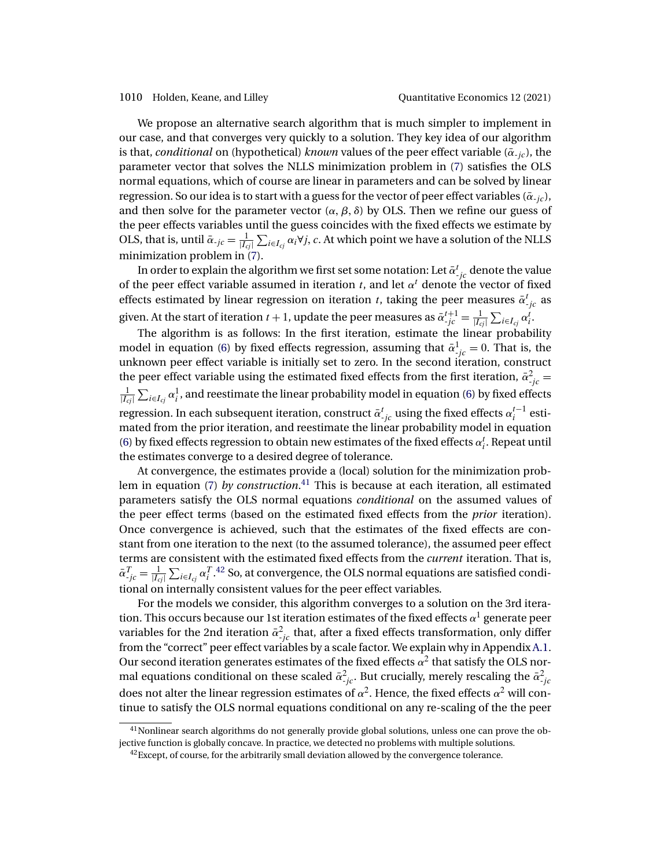1010 Holden, Keane, and Lilley Quantitative Economics 12 (2021)

We propose an alternative search algorithm that is much simpler to implement in our case, and that converges very quickly to a solution. They key idea of our algorithm is that, *conditional* on (hypothetical) *known* values of the peer effect variable ( $\bar{\alpha}$ -<sub>ic</sub>), the parameter vector that solves the NLLS minimization problem in [\(7\)](#page-28-0) satisfies the OLS normal equations, which of course are linear in parameters and can be solved by linear regression. So our idea is to start with a guess for the vector of peer effect variables ( $\bar{\alpha}_{i,c}$ ), and then solve for the parameter vector  $(\alpha, \beta, \delta)$  by OLS. Then we refine our guess of the peer effects variables until the guess coincides with the fixed effects we estimate by OLS, that is, until  $\bar{\alpha}_{-jc} = \frac{1}{|I_{cj}|} \sum_{i \in I_{cj}} \alpha_i \forall j, c$ . At which point we have a solution of the NLLS minimization problem in [\(7\)](#page-28-0).

In order to explain the algorithm we first set some notation: Let  $\bar{\alpha}_{\text{-}jc}^t$  denote the value of the peer effect variable assumed in iteration t, and let  $\alpha^t$  denote the vector of fixed effects estimated by linear regression on iteration t, taking the peer measures  $\bar{\alpha}_{j_c}^t$  as given. At the start of iteration  $t+1$ , update the peer measures as  $\bar{\alpha}_{\text{-}jc}^{t+1} = \frac{1}{|I_{cj}|} \sum_{i \in I_{cj}} \alpha_i^t$ .

The algorithm is as follows: In the first iteration, estimate the linear probability model in equation [\(6\)](#page-28-0) by fixed effects regression, assuming that  $\bar{\alpha}^1_{\,j c} = 0$ . That is, the unknown peer effect variable is initially set to zero. In the second iteration, construct the peer effect variable using the estimated fixed effects from the first iteration,  $\bar{\alpha}_{j c}^2 =$  $\frac{1}{|I_{cj}|}\sum_{i\in I_{cj}}\alpha^1_i$  , and reestimate the linear probability model in equation [\(6\)](#page-28-0) by fixed effects regression. In each subsequent iteration, construct  $\bar{\alpha}_{\cdot j c}^t$  using the fixed effects  $\alpha_i^{t-1}$  estimated from the prior iteration, and reestimate the linear probability model in equation [\(6\)](#page-28-0) by fixed effects regression to obtain new estimates of the fixed effects  $\alpha_i^t$ . Repeat until the estimates converge to a desired degree of tolerance.

At convergence, the estimates provide a (local) solution for the minimization problem in equation [\(7\)](#page-28-0) *by construction*. <sup>41</sup> This is because at each iteration, all estimated parameters satisfy the OLS normal equations *conditional* on the assumed values of the peer effect terms (based on the estimated fixed effects from the *prior* iteration). Once convergence is achieved, such that the estimates of the fixed effects are constant from one iteration to the next (to the assumed tolerance), the assumed peer effect terms are consistent with the estimated fixed effects from the *current* iteration. That is,  $\bar{\alpha}_{-jc}^T=\frac{1}{|I_{cj}|}\sum_{i\in I_{cj}}\alpha_i^T.$ <sup>42</sup> So, at convergence, the OLS normal equations are satisfied conditional on internally consistent values for the peer effect variables.

For the models we consider, this algorithm converges to a solution on the 3rd iteration. This occurs because our 1st iteration estimates of the fixed effects  $\alpha^1$  generate peer variables for the 2nd iteration  $\bar{\alpha}_{-jc}^2$  that, after a fixed effects transformation, only differ from the "correct" peer effect variables by a scale factor. We explain why in Appendix [A.1.](#page-30-0) Our second iteration generates estimates of the fixed effects  $\alpha^2$  that satisfy the OLS normal equations conditional on these scaled  $\bar{\alpha}^2_{-jc}$ . But crucially, merely rescaling the  $\bar{\alpha}^2_{-jc}$ does not alter the linear regression estimates of  $\alpha^2$ . Hence, the fixed effects  $\alpha^2$  will continue to satisfy the OLS normal equations conditional on any re-scaling of the the peer

 $41$ Nonlinear search algorithms do not generally provide global solutions, unless one can prove the objective function is globally concave. In practice, we detected no problems with multiple solutions.

 $^{42}$ Except, of course, for the arbitrarily small deviation allowed by the convergence tolerance.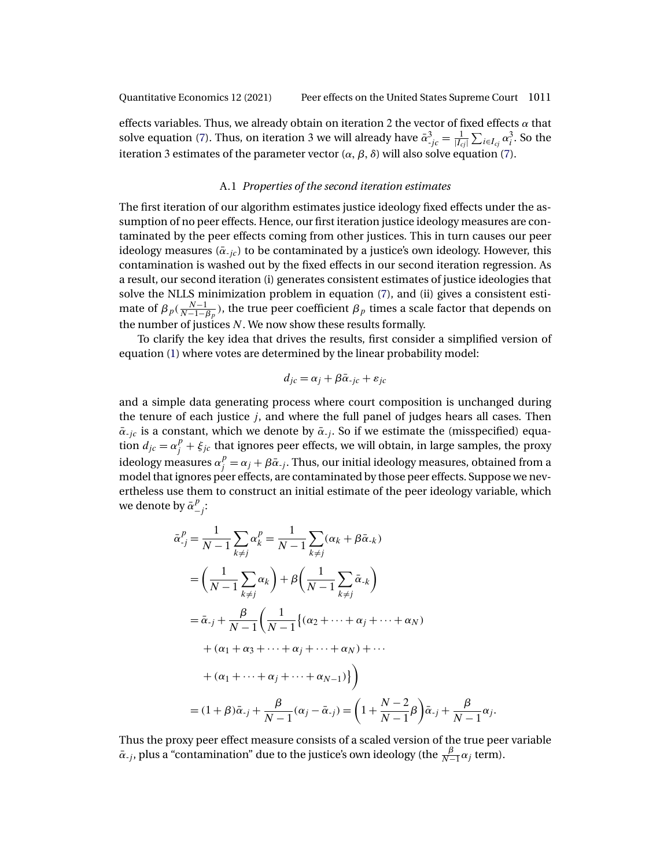<span id="page-30-0"></span>effects variables. Thus, we already obtain on iteration 2 the vector of fixed effects  $\alpha$  that solve equation [\(7\)](#page-28-0). Thus, on iteration 3 we will already have  $\bar{\alpha}_{\cdot j c}^3 = \frac{1}{|I_{cj}|} \sum_{i \in I_{cj}} \alpha_i^3$ . So the iteration 3 estimates of the parameter vector  $(\alpha, \beta, \delta)$  will also solve equation [\(7\)](#page-28-0).

## A.1 *Properties of the second iteration estimates*

The first iteration of our algorithm estimates justice ideology fixed effects under the assumption of no peer effects. Hence, our first iteration justice ideology measures are contaminated by the peer effects coming from other justices. This in turn causes our peer ideology measures ( $\bar{\alpha}_{-ic}$ ) to be contaminated by a justice's own ideology. However, this contamination is washed out by the fixed effects in our second iteration regression. As a result, our second iteration (i) generates consistent estimates of justice ideologies that solve the NLLS minimization problem in equation [\(7\)](#page-28-0), and (ii) gives a consistent estimate of  $\beta_p(\frac{N-1}{N-1-\beta_p})$ , the true peer coefficient  $\beta_p$  times a scale factor that depends on the number of justices  $N$ . We now show these results formally.

To clarify the key idea that drives the results, first consider a simplified version of equation [\(1\)](#page-7-0) where votes are determined by the linear probability model:

$$
d_{jc} = \alpha_j + \beta \bar{\alpha}_{\text{-}jc} + \varepsilon_{jc}
$$

and a simple data generating process where court composition is unchanged during the tenure of each justice j, and where the full panel of judges hears all cases. Then  $\bar{\alpha}_{-ic}$  is a constant, which we denote by  $\bar{\alpha}_{-i}$ . So if we estimate the (misspecified) equation  $d_{jc} = \alpha_j^p + \xi_{jc}$  that ignores peer effects, we will obtain, in large samples, the proxy ideology measures  $\alpha_j^p=\alpha_j+\beta\bar\alpha_{-j}.$  Thus, our initial ideology measures, obtained from a model that ignores peer effects, are contaminated by those peer effects. Suppose we nevertheless use them to construct an initial estimate of the peer ideology variable, which we denote by  $\bar{\alpha}^p_{-j}$ :

$$
\bar{\alpha}_{.j}^{p} = \frac{1}{N-1} \sum_{k \neq j} \alpha_{k}^{p} = \frac{1}{N-1} \sum_{k \neq j} (\alpha_{k} + \beta \bar{\alpha}_{.k})
$$
  
\n
$$
= \left(\frac{1}{N-1} \sum_{k \neq j} \alpha_{k}\right) + \beta \left(\frac{1}{N-1} \sum_{k \neq j} \bar{\alpha}_{.k}\right)
$$
  
\n
$$
= \bar{\alpha}_{.j} + \frac{\beta}{N-1} \left(\frac{1}{N-1} \{(\alpha_{2} + \dots + \alpha_{j} + \dots + \alpha_{N}) + \dots + (\alpha_{1} + \alpha_{3} + \dots + \alpha_{j} + \dots + \alpha_{N-1})\}\right)
$$
  
\n
$$
+ (\alpha_{1} + \dots + \alpha_{j} + \dots + \alpha_{N-1})\}
$$
  
\n
$$
= (1 + \beta)\bar{\alpha}_{.j} + \frac{\beta}{N-1} (\alpha_{j} - \bar{\alpha}_{.j}) = \left(1 + \frac{N-2}{N-1}\beta\right)\bar{\alpha}_{.j} + \frac{\beta}{N-1}
$$

Thus the proxy peer effect measure consists of a scaled version of the true peer variable  $\bar{\alpha}_{-j}$ , plus a "contamination" due to the justice's own ideology (the  $\frac{\beta}{N-1}\alpha_j$  term).

 $\alpha_j$ .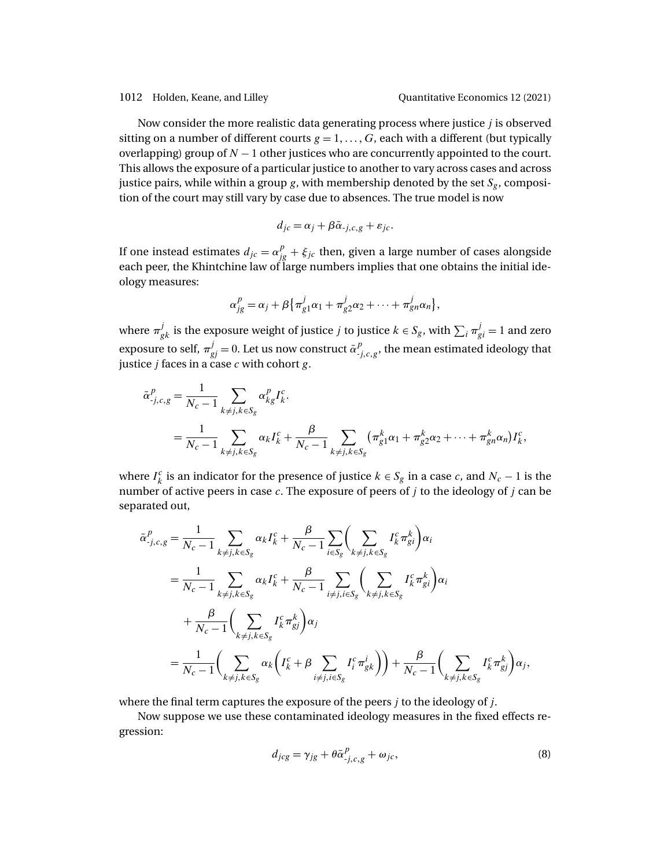<span id="page-31-0"></span>Now consider the more realistic data generating process where justice j is observed sitting on a number of different courts  $g = 1, ..., G$ , each with a different (but typically overlapping) group of  $N - 1$  other justices who are concurrently appointed to the court. This allows the exposure of a particular justice to another to vary across cases and across justice pairs, while within a group  $g$ , with membership denoted by the set  $S_g$ , composition of the court may still vary by case due to absences. The true model is now

$$
d_{jc} = \alpha_j + \beta \bar{\alpha}_{-j,c,g} + \varepsilon_{jc}.
$$

If one instead estimates  $d_{jc} = \alpha_{jg}^p + \xi_{jc}$  then, given a large number of cases alongside each peer, the Khintchine law of large numbers implies that one obtains the initial ideology measures:

$$
\alpha_{jg}^p = \alpha_j + \beta \{ \pi_{g1}^j \alpha_1 + \pi_{g2}^j \alpha_2 + \cdots + \pi_{gn}^j \alpha_n \},\
$$

where  $\pi_{gk}^j$  is the exposure weight of justice  $j$  to justice  $k \in S_g$ , with  $\sum_i \pi_{gi}^j = 1$  and zero exposure to self,  $\pi_{gj}^j = 0$ . Let us now construct  $\bar{\alpha}_{j,c,g}^p$ , the mean estimated ideology that justice  $j$  faces in a case  $c$  with cohort  $g$ .

$$
\bar{\alpha}_{j,c,g}^{p} = \frac{1}{N_c - 1} \sum_{k \neq j, k \in S_g} \alpha_{k,g}^{p} I_k^{c}.
$$
  
= 
$$
\frac{1}{N_c - 1} \sum_{k \neq j, k \in S_g} \alpha_k I_k^{c} + \frac{\beta}{N_c - 1} \sum_{k \neq j, k \in S_g} (\pi_{g1}^{k} \alpha_1 + \pi_{g2}^{k} \alpha_2 + \dots + \pi_{gn}^{k} \alpha_n) I_k^{c},
$$

where  $I_k^c$  is an indicator for the presence of justice  $k \in S_g$  in a case c, and  $N_c - 1$  is the number of active peers in case  $c$ . The exposure of peers of  $j$  to the ideology of  $j$  can be separated out,

$$
\bar{\alpha}_{-j,c,g}^{P} = \frac{1}{N_c - 1} \sum_{k \neq j, k \in S_g} \alpha_k I_k^c + \frac{\beta}{N_c - 1} \sum_{i \in S_g} \left( \sum_{k \neq j, k \in S_g} I_k^c \pi_{gi}^k \right) \alpha_i
$$
\n
$$
= \frac{1}{N_c - 1} \sum_{k \neq j, k \in S_g} \alpha_k I_k^c + \frac{\beta}{N_c - 1} \sum_{i \neq j, i \in S_g} \left( \sum_{k \neq j, k \in S_g} I_k^c \pi_{gi}^k \right) \alpha_i
$$
\n
$$
+ \frac{\beta}{N_c - 1} \left( \sum_{k \neq j, k \in S_g} I_k^c \pi_{gi}^k \right) \alpha_j
$$
\n
$$
= \frac{1}{N_c - 1} \left( \sum_{k \neq j, k \in S_g} \alpha_k \left( I_k^c + \beta \sum_{i \neq j, i \in S_g} I_i^c \pi_{gi}^i \right) \right) + \frac{\beta}{N_c - 1} \left( \sum_{k \neq j, k \in S_g} I_k^c \pi_{gi}^k \right) \alpha_j,
$$

where the final term captures the exposure of the peers  $i$  to the ideology of  $i$ .

Now suppose we use these contaminated ideology measures in the fixed effects regression:

$$
d_{jcg} = \gamma_{jg} + \theta \bar{\alpha}^p_{j,c,g} + \omega_{jc},\tag{8}
$$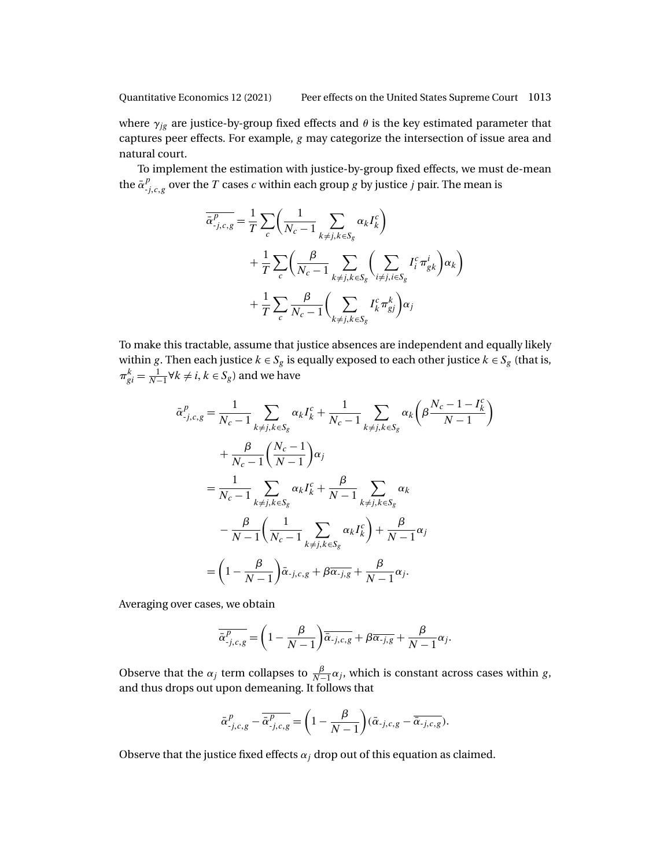where  $\gamma_{jg}$  are justice-by-group fixed effects and  $\theta$  is the key estimated parameter that captures peer effects. For example, g may categorize the intersection of issue area and natural court.

To implement the estimation with justice-by-group fixed effects, we must de-mean the  $\bar{\alpha}^p_{-j,c,g}$  over the  $T$  cases  $c$  within each group  $g$  by justice  $j$  pair. The mean is

$$
\overline{\alpha}_{-j,c,g}^P = \frac{1}{T} \sum_c \left( \frac{1}{N_c - 1} \sum_{k \neq j, k \in S_g} \alpha_k I_k^c \right) \n+ \frac{1}{T} \sum_c \left( \frac{\beta}{N_c - 1} \sum_{k \neq j, k \in S_g} \left( \sum_{i \neq j, i \in S_g} I_i^c \pi_{gk}^i \right) \alpha_k \right) \n+ \frac{1}{T} \sum_c \frac{\beta}{N_c - 1} \left( \sum_{k \neq j, k \in S_g} I_k^c \pi_{gj}^k \right) \alpha_j
$$

To make this tractable, assume that justice absences are independent and equally likely within g. Then each justice  $k \in S_g$  is equally exposed to each other justice  $k \in S_g$  (that is,  $\pi_{gi}^k = \frac{1}{N-1} \forall k \neq i, k \in S_g$ ) and we have

$$
\bar{\alpha}_{j,c,g}^{p} = \frac{1}{N_c - 1} \sum_{k \neq j, k \in S_g} \alpha_k I_k^c + \frac{1}{N_c - 1} \sum_{k \neq j, k \in S_g} \alpha_k \left( \beta \frac{N_c - 1 - I_k^c}{N - 1} \right)
$$
\n
$$
+ \frac{\beta}{N_c - 1} \left( \frac{N_c - 1}{N - 1} \right) \alpha_j
$$
\n
$$
= \frac{1}{N_c - 1} \sum_{k \neq j, k \in S_g} \alpha_k I_k^c + \frac{\beta}{N - 1} \sum_{k \neq j, k \in S_g} \alpha_k
$$
\n
$$
- \frac{\beta}{N - 1} \left( \frac{1}{N_c - 1} \sum_{k \neq j, k \in S_g} \alpha_k I_k^c \right) + \frac{\beta}{N - 1} \alpha_j
$$
\n
$$
= \left( 1 - \frac{\beta}{N - 1} \right) \bar{\alpha}_{\cdot j, c, g} + \beta \overline{\alpha_{\cdot j, g}} + \frac{\beta}{N - 1} \alpha_j.
$$

Averaging over cases, we obtain

$$
\overline{\overline{\alpha}_{j,c,g}^p} = \left(1 - \frac{\beta}{N-1}\right) \overline{\overline{\alpha}_{j,c,g}} + \beta \overline{\alpha_{j,g}} + \frac{\beta}{N-1} \alpha_j.
$$

Observe that the  $\alpha_j$  term collapses to  $\frac{\beta}{N-1}\alpha_j$ , which is constant across cases within g, and thus drops out upon demeaning. It follows that

$$
\bar{\alpha}_{-j,c,g}^p - \overline{\bar{\alpha}_{-j,c,g}^p} = \left(1 - \frac{\beta}{N-1}\right)(\bar{\alpha}_{-j,c,g} - \overline{\bar{\alpha}_{-j,c,g}}).
$$

Observe that the justice fixed effects  $\alpha_i$  drop out of this equation as claimed.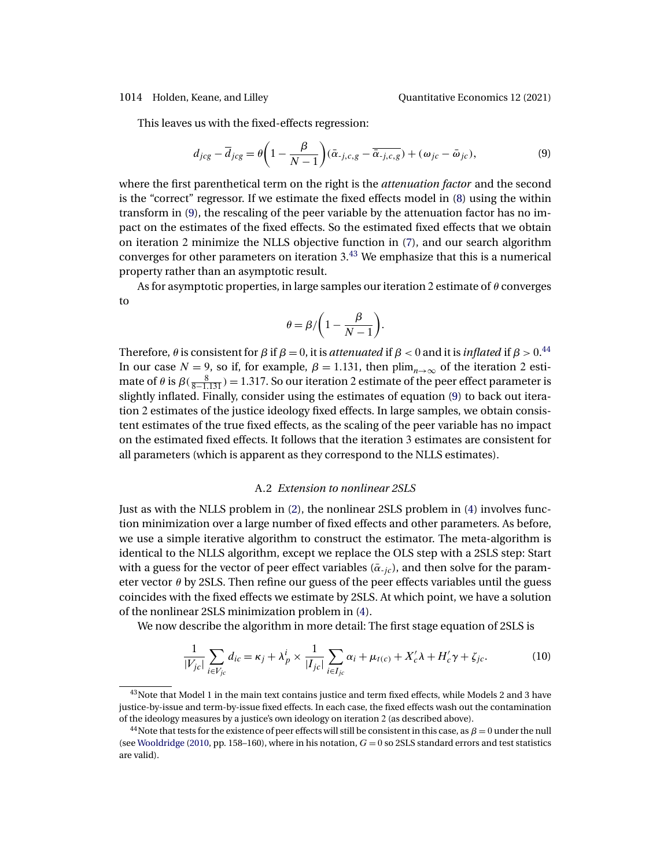<span id="page-33-0"></span>

This leaves us with the fixed-effects regression:

$$
d_{jcg} - \overline{d}_{jcg} = \theta \left( 1 - \frac{\beta}{N-1} \right) (\bar{\alpha}_{-j,c,g} - \overline{\bar{\alpha}_{-j,c,g}}) + (\omega_{jc} - \bar{\omega}_{jc}),\tag{9}
$$

where the first parenthetical term on the right is the *attenuation factor* and the second is the "correct" regressor. If we estimate the fixed effects model in [\(8\)](#page-31-0) using the within transform in (9), the rescaling of the peer variable by the attenuation factor has no impact on the estimates of the fixed effects. So the estimated fixed effects that we obtain on iteration 2 minimize the NLLS objective function in [\(7\)](#page-28-0), and our search algorithm converges for other parameters on iteration 3. <sup>43</sup> We emphasize that this is a numerical property rather than an asymptotic result.

As for asymptotic properties, in large samples our iteration 2 estimate of  $\theta$  converges to

$$
\theta = \beta / \bigg(1 - \frac{\beta}{N-1}\bigg).
$$

Therefore,  $\theta$  is consistent for  $\beta$  if  $\beta = 0$ , it is *attenuated* if  $\beta < 0$  and it is *inflated* if  $\beta > 0$ .<sup>44</sup> In our case  $N = 9$ , so if, for example,  $\beta = 1.131$ , then  $\lim_{n \to \infty}$  of the iteration 2 estimate of  $\theta$  is  $\beta(\frac{8}{8-1.131}) = 1.317$ . So our iteration 2 estimate of the peer effect parameter is slightly inflated. Finally, consider using the estimates of equation (9) to back out iteration 2 estimates of the justice ideology fixed effects. In large samples, we obtain consistent estimates of the true fixed effects, as the scaling of the peer variable has no impact on the estimated fixed effects. It follows that the iteration 3 estimates are consistent for all parameters (which is apparent as they correspond to the NLLS estimates).

### A.2 *Extension to nonlinear 2SLS*

Just as with the NLLS problem in [\(2\)](#page-8-0), the nonlinear 2SLS problem in [\(4\)](#page-20-0) involves function minimization over a large number of fixed effects and other parameters. As before, we use a simple iterative algorithm to construct the estimator. The meta-algorithm is identical to the NLLS algorithm, except we replace the OLS step with a 2SLS step: Start with a guess for the vector of peer effect variables ( $\bar{\alpha}_{-ic}$ ), and then solve for the parameter vector  $\theta$  by 2SLS. Then refine our guess of the peer effects variables until the guess coincides with the fixed effects we estimate by 2SLS. At which point, we have a solution of the nonlinear 2SLS minimization problem in [\(4\)](#page-20-0).

We now describe the algorithm in more detail: The first stage equation of 2SLS is

$$
\frac{1}{|V_{jc}|} \sum_{i \in V_{jc}} d_{ic} = \kappa_j + \lambda_p^i \times \frac{1}{|I_{jc}|} \sum_{i \in I_{jc}} \alpha_i + \mu_{t(c)} + X_c' \lambda + H_c' \gamma + \zeta_{jc}.
$$
 (10)

 $43$ Note that Model 1 in the main text contains justice and term fixed effects, while Models 2 and 3 have justice-by-issue and term-by-issue fixed effects. In each case, the fixed effects wash out the contamination of the ideology measures by a justice's own ideology on iteration 2 (as described above).

<sup>&</sup>lt;sup>44</sup>Note that tests for the existence of peer effects will still be consistent in this case, as  $\beta = 0$  under the null (see [Wooldridge](#page-38-0) [\(2010,](#page-38-0) pp. 158–160), where in his notation,  $G = 0$  so 2SLS standard errors and test statistics are valid).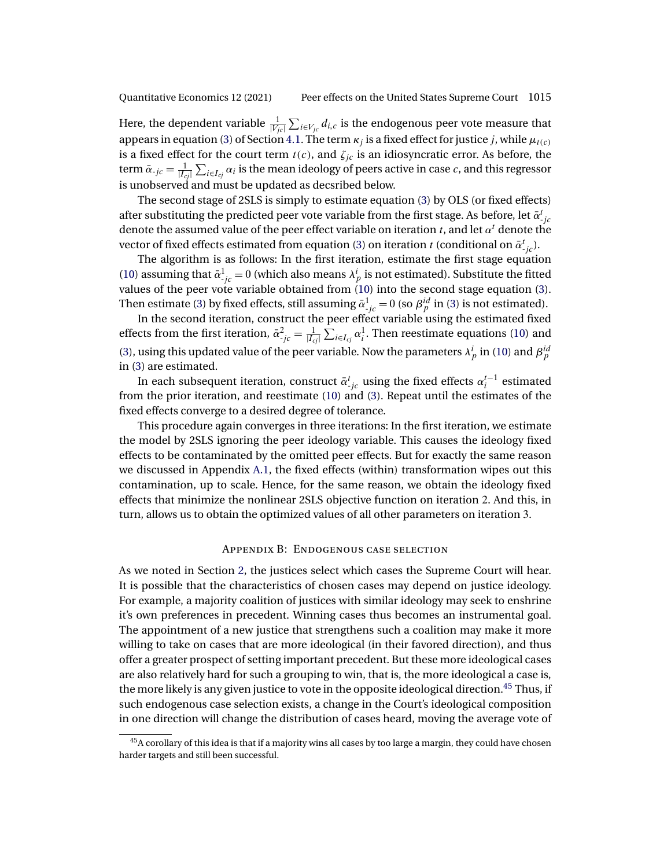Here, the dependent variable  $\frac{1}{|V_{jc}|}\sum_{i\in V_{jc}}d_{i,c}$  is the endogenous peer vote measure that appears in equation [\(3\)](#page-17-0) of Section [4.1.](#page-17-0) The term  $\kappa_i$  is a fixed effect for justice j, while  $\mu_{t(c)}$ is a fixed effect for the court term  $t(c)$ , and  $\zeta_{jc}$  is an idiosyncratic error. As before, the term  $\bar{\alpha}_{\cdot j c}=\frac{1}{|I_{cj}|}\sum_{i\in I_{cj}}\alpha_i$  is the mean ideology of peers active in case  $c$ , and this regressor is unobserved and must be updated as decsribed below.

The second stage of 2SLS is simply to estimate equation [\(3\)](#page-17-0) by OLS (or fixed effects) after substituting the predicted peer vote variable from the first stage. As before, let  $\bar{\alpha}_{\cdot j c}^t$ denote the assumed value of the peer effect variable on iteration t, and let  $\alpha^t$  denote the vector of fixed effects estimated from equation [\(3\)](#page-17-0) on iteration  $t$  (conditional on  $\bar{\alpha}^t_{\phantom{t}j\dot{c}}).$ 

The algorithm is as follows: In the first iteration, estimate the first stage equation [\(10\)](#page-33-0) assuming that  $\bar{\alpha}^1_{\,jc} = 0$  (which also means  $\lambda^i_p$  is not estimated). Substitute the fitted values of the peer vote variable obtained from [\(10\)](#page-33-0) into the second stage equation [\(3\)](#page-17-0). Then estimate [\(3\)](#page-17-0) by fixed effects, still assuming  $\bar{\alpha}^1_{-jc} = 0$  (so  $\beta^{id}_p$  in (3) is not estimated).

In the second iteration, construct the peer effect variable using the estimated fixed effects from the first iteration,  $\bar{\alpha}_{j_c}^2 = \frac{1}{|I_{cj}|} \sum_{i \in I_{cj}} \alpha_i^1$ . Then reestimate equations [\(10\)](#page-33-0) and [\(3\)](#page-17-0), using this updated value of the peer variable. Now the parameters  $\lambda_p^i$  in [\(10\)](#page-33-0) and  $\beta_p^{id}$ in [\(3\)](#page-17-0) are estimated.

In each subsequent iteration, construct  $\bar{\alpha}^t_{\cdot jc}$  using the fixed effects  $\alpha^{t-1}_i$  estimated from the prior iteration, and reestimate [\(10\)](#page-33-0) and [\(3\)](#page-17-0). Repeat until the estimates of the fixed effects converge to a desired degree of tolerance.

This procedure again converges in three iterations: In the first iteration, we estimate the model by 2SLS ignoring the peer ideology variable. This causes the ideology fixed effects to be contaminated by the omitted peer effects. But for exactly the same reason we discussed in Appendix [A.1,](#page-30-0) the fixed effects (within) transformation wipes out this contamination, up to scale. Hence, for the same reason, we obtain the ideology fixed effects that minimize the nonlinear 2SLS objective function on iteration 2. And this, in turn, allows us to obtain the optimized values of all other parameters on iteration 3.

### Appendix B: Endogenous case selection

As we noted in Section [2,](#page-5-0) the justices select which cases the Supreme Court will hear. It is possible that the characteristics of chosen cases may depend on justice ideology. For example, a majority coalition of justices with similar ideology may seek to enshrine it's own preferences in precedent. Winning cases thus becomes an instrumental goal. The appointment of a new justice that strengthens such a coalition may make it more willing to take on cases that are more ideological (in their favored direction), and thus offer a greater prospect of setting important precedent. But these more ideological cases are also relatively hard for such a grouping to win, that is, the more ideological a case is, the more likely is any given justice to vote in the opposite ideological direction.<sup>45</sup> Thus, if such endogenous case selection exists, a change in the Court's ideological composition in one direction will change the distribution of cases heard, moving the average vote of

 $45A$  corollary of this idea is that if a majority wins all cases by too large a margin, they could have chosen harder targets and still been successful.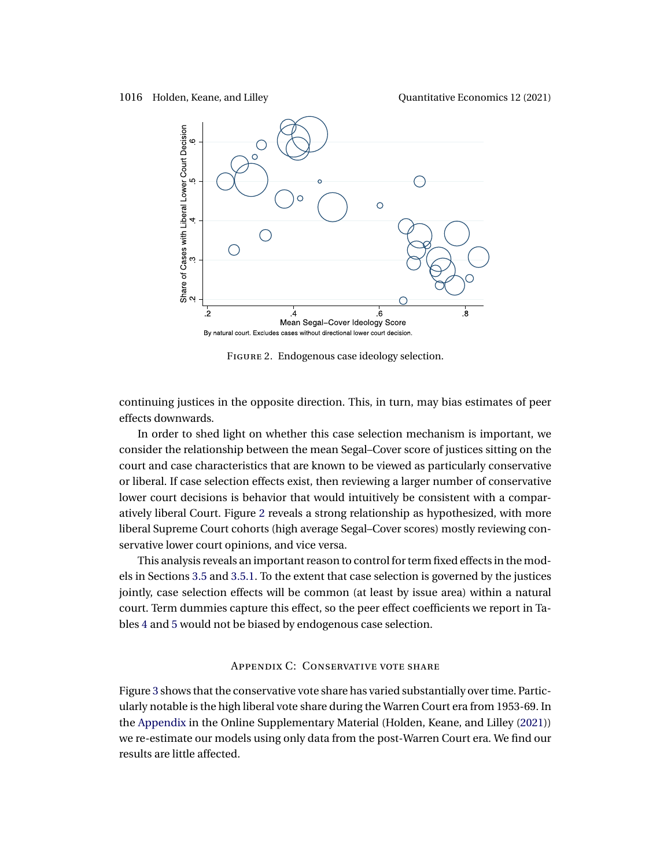<span id="page-35-0"></span>



Figure 2. Endogenous case ideology selection.

continuing justices in the opposite direction. This, in turn, may bias estimates of peer effects downwards.

In order to shed light on whether this case selection mechanism is important, we consider the relationship between the mean Segal–Cover score of justices sitting on the court and case characteristics that are known to be viewed as particularly conservative or liberal. If case selection effects exist, then reviewing a larger number of conservative lower court decisions is behavior that would intuitively be consistent with a comparatively liberal Court. Figure 2 reveals a strong relationship as hypothesized, with more liberal Supreme Court cohorts (high average Segal–Cover scores) mostly reviewing conservative lower court opinions, and vice versa.

This analysis reveals an important reason to control for term fixed effects in the models in Sections [3.5](#page-12-0) and [3.5.1.](#page-16-0) To the extent that case selection is governed by the justices jointly, case selection effects will be common (at least by issue area) within a natural court. Term dummies capture this effect, so the peer effect coefficients we report in Tables [4](#page-14-0) and [5](#page-16-0) would not be biased by endogenous case selection.

# Appendix C: Conservative vote share

Figure [3](#page-36-0) shows that the conservative vote share has varied substantially over time. Particularly notable is the high liberal vote share during the Warren Court era from 1953-69. In the [Appendix](#page-28-0) in the Online Supplementary Material (Holden, Keane, and Lilley [\(2021\)](#page-37-0)) we re-estimate our models using only data from the post-Warren Court era. We find our results are little affected.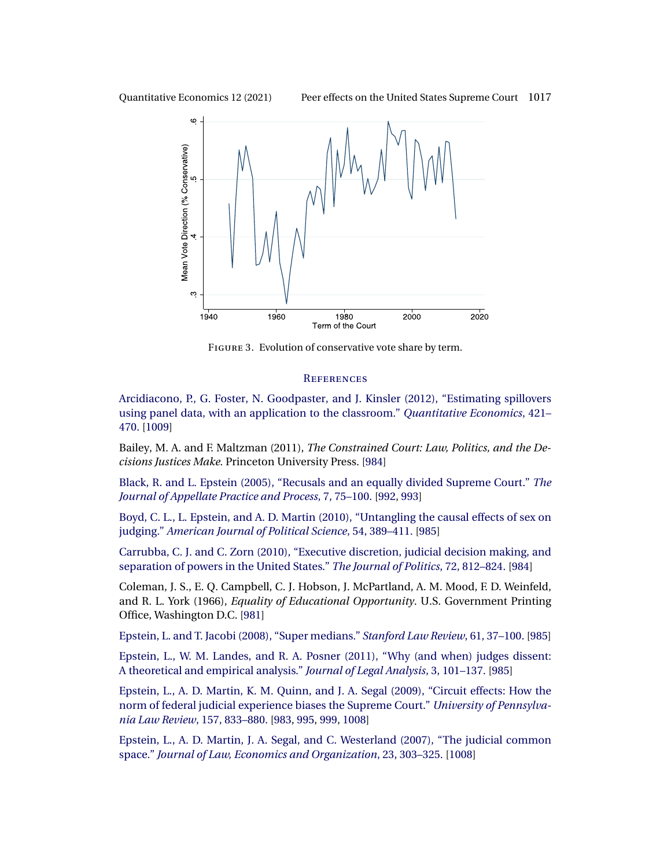<span id="page-36-0"></span>



FIGURE 3. Evolution of conservative vote share by term.

### **REFERENCES**

[Arcidiacono, P., G. Foster, N. Goodpaster, and J. Kinsler \(2012\), "Estimating spillovers](http://www.e-publications.org/srv/qe/linkserver/openurl?rft_dat=bib:1/arcidiacono2012&rfe_id=urn:sici%2F1759-7323%282021%2912%3A3%3C981%3APEOTUS%3E2.0.CO%3B2-8) [using panel data, with an application to the classroom."](http://www.e-publications.org/srv/qe/linkserver/openurl?rft_dat=bib:1/arcidiacono2012&rfe_id=urn:sici%2F1759-7323%282021%2912%3A3%3C981%3APEOTUS%3E2.0.CO%3B2-8) *Quantitative Economics*, 421– [470.](http://www.e-publications.org/srv/qe/linkserver/openurl?rft_dat=bib:1/arcidiacono2012&rfe_id=urn:sici%2F1759-7323%282021%2912%3A3%3C981%3APEOTUS%3E2.0.CO%3B2-8) [\[1009\]](#page-28-0)

Bailey, M. A. and F. Maltzman (2011), *The Constrained Court: Law, Politics, and the Decisions Justices Make.* Princeton University Press. [\[984\]](#page-3-0)

[Black, R. and L. Epstein \(2005\), "Recusals and an equally divided Supreme Court."](http://www.e-publications.org/srv/qe/linkserver/openurl?rft_dat=bib:3/black2005&rfe_id=urn:sici%2F1759-7323%282021%2912%3A3%3C981%3APEOTUS%3E2.0.CO%3B2-8) *The [Journal of Appellate Practice and Process](http://www.e-publications.org/srv/qe/linkserver/openurl?rft_dat=bib:3/black2005&rfe_id=urn:sici%2F1759-7323%282021%2912%3A3%3C981%3APEOTUS%3E2.0.CO%3B2-8)*, 7, 75–100. [\[992,](#page-11-0) [993\]](#page-12-0)

[Boyd, C. L., L. Epstein, and A. D. Martin \(2010\), "Untangling the causal effects of sex on](http://www.e-publications.org/srv/qe/linkserver/openurl?rft_dat=bib:4/boyd2010&rfe_id=urn:sici%2F1759-7323%282021%2912%3A3%3C981%3APEOTUS%3E2.0.CO%3B2-8) judging." *[American Journal of Political Science](http://www.e-publications.org/srv/qe/linkserver/openurl?rft_dat=bib:4/boyd2010&rfe_id=urn:sici%2F1759-7323%282021%2912%3A3%3C981%3APEOTUS%3E2.0.CO%3B2-8)*, 54, 389–411. [\[985\]](#page-4-0)

[Carrubba, C. J. and C. Zorn \(2010\), "Executive discretion, judicial decision making, and](http://www.e-publications.org/srv/qe/linkserver/openurl?rft_dat=bib:5/carrubba2010&rfe_id=urn:sici%2F1759-7323%282021%2912%3A3%3C981%3APEOTUS%3E2.0.CO%3B2-8) [separation of powers in the United States."](http://www.e-publications.org/srv/qe/linkserver/openurl?rft_dat=bib:5/carrubba2010&rfe_id=urn:sici%2F1759-7323%282021%2912%3A3%3C981%3APEOTUS%3E2.0.CO%3B2-8) *The Journal of Politics*, 72, 812–824. [\[984\]](#page-3-0)

Coleman, J. S., E. Q. Campbell, C. J. Hobson, J. McPartland, A. M. Mood, F. D. Weinfeld, and R. L. York (1966), *Equality of Educational Opportunity*. U.S. Government Printing Office, Washington D.C. [\[981\]](#page-0-0)

[Epstein, L. and T. Jacobi \(2008\), "Super medians."](http://www.e-publications.org/srv/qe/linkserver/openurl?rft_dat=bib:7/epstein2008&rfe_id=urn:sici%2F1759-7323%282021%2912%3A3%3C981%3APEOTUS%3E2.0.CO%3B2-8) *Stanford Law Review*, 61, 37–100. [\[985\]](#page-4-0)

[Epstein, L., W. M. Landes, and R. A. Posner \(2011\), "Why \(and when\) judges dissent:](http://www.e-publications.org/srv/qe/linkserver/openurl?rft_dat=bib:8/epstein2011&rfe_id=urn:sici%2F1759-7323%282021%2912%3A3%3C981%3APEOTUS%3E2.0.CO%3B2-8) [A theoretical and empirical analysis."](http://www.e-publications.org/srv/qe/linkserver/openurl?rft_dat=bib:8/epstein2011&rfe_id=urn:sici%2F1759-7323%282021%2912%3A3%3C981%3APEOTUS%3E2.0.CO%3B2-8) *Journal of Legal Analysis*, 3, 101–137. [\[985\]](#page-4-0)

[Epstein, L., A. D. Martin, K. M. Quinn, and J. A. Segal \(2009\), "Circuit effects: How the](http://www.e-publications.org/srv/qe/linkserver/openurl?rft_dat=bib:9/epstein2009&rfe_id=urn:sici%2F1759-7323%282021%2912%3A3%3C981%3APEOTUS%3E2.0.CO%3B2-8) [norm of federal judicial experience biases the Supreme Court."](http://www.e-publications.org/srv/qe/linkserver/openurl?rft_dat=bib:9/epstein2009&rfe_id=urn:sici%2F1759-7323%282021%2912%3A3%3C981%3APEOTUS%3E2.0.CO%3B2-8) *University of Pennsylva[nia Law Review](http://www.e-publications.org/srv/qe/linkserver/openurl?rft_dat=bib:9/epstein2009&rfe_id=urn:sici%2F1759-7323%282021%2912%3A3%3C981%3APEOTUS%3E2.0.CO%3B2-8)*, 157, 833–880. [\[983,](#page-2-0) [995,](#page-14-0) [999,](#page-18-0) [1008\]](#page-27-0)

[Epstein, L., A. D. Martin, J. A. Segal, and C. Westerland \(2007\), "The judicial common](http://www.e-publications.org/srv/qe/linkserver/openurl?rft_dat=bib:10/epstein2007&rfe_id=urn:sici%2F1759-7323%282021%2912%3A3%3C981%3APEOTUS%3E2.0.CO%3B2-8) space." *[Journal of Law, Economics and Organization](http://www.e-publications.org/srv/qe/linkserver/openurl?rft_dat=bib:10/epstein2007&rfe_id=urn:sici%2F1759-7323%282021%2912%3A3%3C981%3APEOTUS%3E2.0.CO%3B2-8)*, 23, 303–325. [\[1008\]](#page-27-0)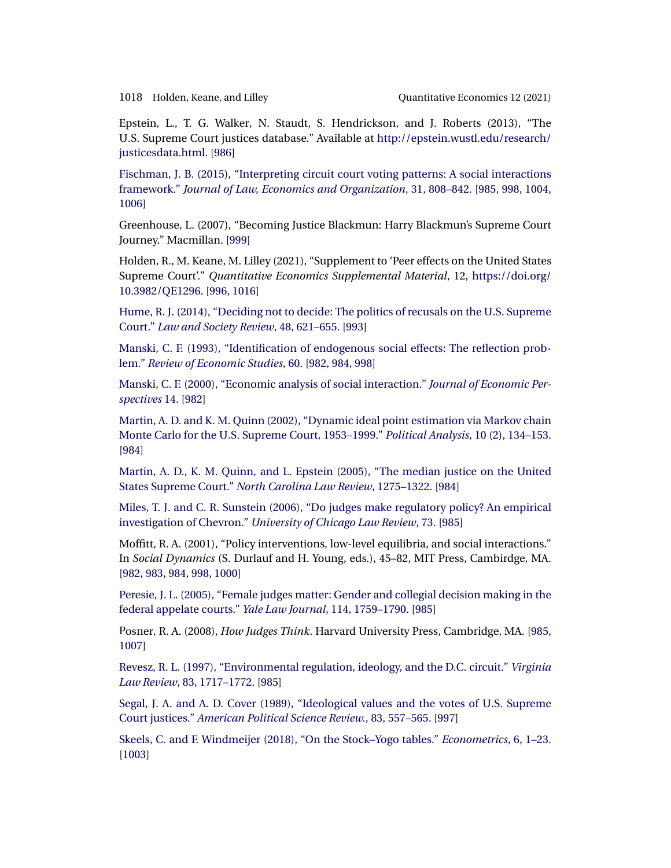<span id="page-37-0"></span>1018 Holden, Keane, and Lilley Quantitative Economics 12 (2021)

Epstein, L., T. G. Walker, N. Staudt, S. Hendrickson, and J. Roberts (2013), "The U.S. Supreme Court justices database." Available at [http://epstein.wustl.edu/research/](http://epstein.wustl.edu/research/justicesdata.html) [justicesdata.html](http://epstein.wustl.edu/research/justicesdata.html). [\[986\]](#page-5-0)

[Fischman, J. B. \(2015\), "Interpreting circuit court voting patterns: A social interactions](http://www.e-publications.org/srv/qe/linkserver/openurl?rft_dat=bib:12/fischman2015&rfe_id=urn:sici%2F1759-7323%282021%2912%3A3%3C981%3APEOTUS%3E2.0.CO%3B2-8) framework." *[Journal of Law, Economics and Organization](http://www.e-publications.org/srv/qe/linkserver/openurl?rft_dat=bib:12/fischman2015&rfe_id=urn:sici%2F1759-7323%282021%2912%3A3%3C981%3APEOTUS%3E2.0.CO%3B2-8)*, 31, 808–842. [\[985,](#page-4-0) [998,](#page-17-0) [1004,](#page-23-0) [1006\]](#page-25-0)

Greenhouse, L. (2007), "Becoming Justice Blackmun: Harry Blackmun's Supreme Court Journey." Macmillan. [\[999\]](#page-18-0)

Holden, R., M. Keane, M. Lilley (2021), "Supplement to 'Peer effects on the United States Supreme Court'." *Quantitative Economics Supplemental Material*, 12, [https://doi.org/](https://doi.org/10.3982/QE1296) [10.3982/QE1296](https://doi.org/10.3982/QE1296). [\[996,](#page-15-0) [1016\]](#page-35-0)

[Hume, R. J. \(2014\), "Deciding not to decide: The politics of recusals on the U.S. Supreme](http://www.e-publications.org/srv/qe/linkserver/openurl?rft_dat=bib:15/hume2014&rfe_id=urn:sici%2F1759-7323%282021%2912%3A3%3C981%3APEOTUS%3E2.0.CO%3B2-8) Court." *[Law and Society Review](http://www.e-publications.org/srv/qe/linkserver/openurl?rft_dat=bib:15/hume2014&rfe_id=urn:sici%2F1759-7323%282021%2912%3A3%3C981%3APEOTUS%3E2.0.CO%3B2-8)*, 48, 621–655. [\[993\]](#page-12-0)

[Manski, C. F. \(1993\), "Identification of endogenous social effects: The reflection prob](http://www.e-publications.org/srv/qe/linkserver/openurl?rft_dat=bib:16/manski1993&rfe_id=urn:sici%2F1759-7323%282021%2912%3A3%3C981%3APEOTUS%3E2.0.CO%3B2-8)lem." *[Review of Economic Studies](http://www.e-publications.org/srv/qe/linkserver/openurl?rft_dat=bib:16/manski1993&rfe_id=urn:sici%2F1759-7323%282021%2912%3A3%3C981%3APEOTUS%3E2.0.CO%3B2-8)*, 60. [\[982,](#page-1-0) [984,](#page-3-0) [998\]](#page-17-0)

[Manski, C. F. \(2000\), "Economic analysis of social interaction."](http://www.e-publications.org/srv/qe/linkserver/openurl?rft_dat=bib:17/manski2000&rfe_id=urn:sici%2F1759-7323%282021%2912%3A3%3C981%3APEOTUS%3E2.0.CO%3B2-8) *Journal of Economic Per[spectives](http://www.e-publications.org/srv/qe/linkserver/openurl?rft_dat=bib:17/manski2000&rfe_id=urn:sici%2F1759-7323%282021%2912%3A3%3C981%3APEOTUS%3E2.0.CO%3B2-8)* 14. [\[982\]](#page-1-0)

[Martin, A. D. and K. M. Quinn \(2002\), "Dynamic ideal point estimation via Markov chain](http://www.e-publications.org/srv/qe/linkserver/openurl?rft_dat=bib:18/martin2002&rfe_id=urn:sici%2F1759-7323%282021%2912%3A3%3C981%3APEOTUS%3E2.0.CO%3B2-8) [Monte Carlo for the U.S. Supreme Court, 1953–1999."](http://www.e-publications.org/srv/qe/linkserver/openurl?rft_dat=bib:18/martin2002&rfe_id=urn:sici%2F1759-7323%282021%2912%3A3%3C981%3APEOTUS%3E2.0.CO%3B2-8) *Political Analysis*, 10 (2), 134–153. [\[984\]](#page-3-0)

[Martin, A. D., K. M. Quinn, and L. Epstein \(2005\), "The median justice on the United](http://www.e-publications.org/srv/qe/linkserver/openurl?rft_dat=bib:19/martin2005&rfe_id=urn:sici%2F1759-7323%282021%2912%3A3%3C981%3APEOTUS%3E2.0.CO%3B2-8) States Supreme Court." *[North Carolina Law Review](http://www.e-publications.org/srv/qe/linkserver/openurl?rft_dat=bib:19/martin2005&rfe_id=urn:sici%2F1759-7323%282021%2912%3A3%3C981%3APEOTUS%3E2.0.CO%3B2-8)*, 1275–1322. [\[984\]](#page-3-0)

[Miles, T. J. and C. R. Sunstein \(2006\), "Do judges make regulatory policy? An empirical](http://www.e-publications.org/srv/qe/linkserver/openurl?rft_dat=bib:20/miles2006&rfe_id=urn:sici%2F1759-7323%282021%2912%3A3%3C981%3APEOTUS%3E2.0.CO%3B2-8) investigation of Chevron." *[University of Chicago Law Review](http://www.e-publications.org/srv/qe/linkserver/openurl?rft_dat=bib:20/miles2006&rfe_id=urn:sici%2F1759-7323%282021%2912%3A3%3C981%3APEOTUS%3E2.0.CO%3B2-8)*, 73. [\[985\]](#page-4-0)

Moffitt, R. A. (2001), "Policy interventions, low-level equilibria, and social interactions." In *Social Dynamics* (S. Durlauf and H. Young, eds.), 45–82, MIT Press, Cambirdge, MA. [\[982,](#page-1-0) [983,](#page-2-0) [984,](#page-3-0) [998,](#page-17-0) [1000\]](#page-19-0)

[Peresie, J. L. \(2005\), "Female judges matter: Gender and collegial decision making in the](http://www.e-publications.org/srv/qe/linkserver/openurl?rft_dat=bib:22/peresie2005&rfe_id=urn:sici%2F1759-7323%282021%2912%3A3%3C981%3APEOTUS%3E2.0.CO%3B2-8) [federal appelate courts."](http://www.e-publications.org/srv/qe/linkserver/openurl?rft_dat=bib:22/peresie2005&rfe_id=urn:sici%2F1759-7323%282021%2912%3A3%3C981%3APEOTUS%3E2.0.CO%3B2-8) *Yale Law Journal*, 114, 1759–1790. [\[985\]](#page-4-0)

Posner, R. A. (2008), *How Judges Think*. Harvard University Press, Cambridge, MA. [\[985,](#page-4-0) [1007\]](#page-26-0)

[Revesz, R. L. \(1997\), "Environmental regulation, ideology, and the D.C. circuit."](http://www.e-publications.org/srv/qe/linkserver/openurl?rft_dat=bib:24/revesz1997&rfe_id=urn:sici%2F1759-7323%282021%2912%3A3%3C981%3APEOTUS%3E2.0.CO%3B2-8) *Virginia Law Review*[, 83, 1717–1772.](http://www.e-publications.org/srv/qe/linkserver/openurl?rft_dat=bib:24/revesz1997&rfe_id=urn:sici%2F1759-7323%282021%2912%3A3%3C981%3APEOTUS%3E2.0.CO%3B2-8) [\[985\]](#page-4-0)

[Segal, J. A. and A. D. Cover \(1989\), "Ideological values and the votes of U.S. Supreme](http://www.e-publications.org/srv/qe/linkserver/openurl?rft_dat=bib:25/segal1989&rfe_id=urn:sici%2F1759-7323%282021%2912%3A3%3C981%3APEOTUS%3E2.0.CO%3B2-8) Court justices." *[American Political Science Review.](http://www.e-publications.org/srv/qe/linkserver/openurl?rft_dat=bib:25/segal1989&rfe_id=urn:sici%2F1759-7323%282021%2912%3A3%3C981%3APEOTUS%3E2.0.CO%3B2-8)*, 83, 557–565. [\[997\]](#page-16-0)

[Skeels, C. and F. Windmeijer \(2018\), "On the Stock–Yogo tables."](http://www.e-publications.org/srv/qe/linkserver/openurl?rft_dat=bib:26/skeels2018&rfe_id=urn:sici%2F1759-7323%282021%2912%3A3%3C981%3APEOTUS%3E2.0.CO%3B2-8) *Econometrics*, 6, 1–23. [\[1003\]](#page-22-0)